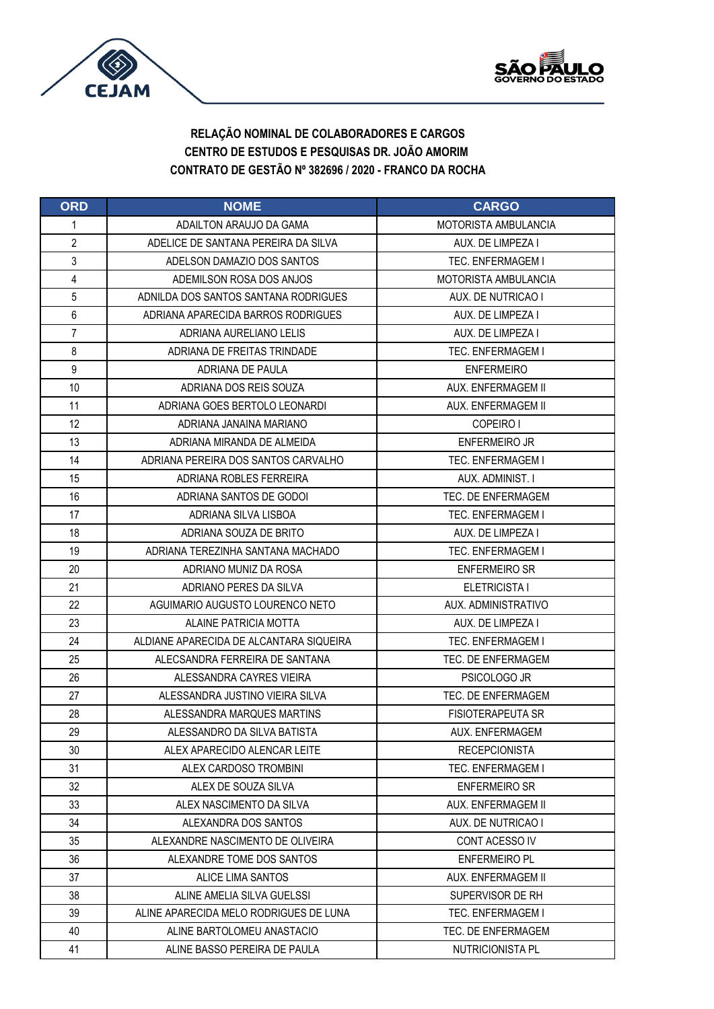



| <b>ORD</b>       | <b>NOME</b>                             | <b>CARGO</b>                |
|------------------|-----------------------------------------|-----------------------------|
| 1                | ADAILTON ARAUJO DA GAMA                 | <b>MOTORISTA AMBULANCIA</b> |
| 2                | ADELICE DE SANTANA PEREIRA DA SILVA     | AUX. DE LIMPEZA I           |
| 3                | ADELSON DAMAZIO DOS SANTOS              | TEC. ENFERMAGEM I           |
| 4                | ADEMILSON ROSA DOS ANJOS                | MOTORISTA AMBULANCIA        |
| 5                | ADNILDA DOS SANTOS SANTANA RODRIGUES    | AUX. DE NUTRICAO I          |
| 6                | ADRIANA APARECIDA BARROS RODRIGUES      | AUX. DE LIMPEZA I           |
| $\overline{7}$   | ADRIANA AURELIANO LELIS                 | AUX. DE LIMPEZA I           |
| 8                | ADRIANA DE FREITAS TRINDADE             | <b>TEC. ENFERMAGEM I</b>    |
| $\boldsymbol{9}$ | ADRIANA DE PAULA                        | <b>ENFERMEIRO</b>           |
| 10               | ADRIANA DOS REIS SOUZA                  | AUX. ENFERMAGEM II          |
| 11               | ADRIANA GOES BERTOLO LEONARDI           | AUX. ENFERMAGEM II          |
| 12               | ADRIANA JANAINA MARIANO                 | COPEIRO I                   |
| 13               | ADRIANA MIRANDA DE ALMEIDA              | <b>ENFERMEIRO JR</b>        |
| 14               | ADRIANA PEREIRA DOS SANTOS CARVALHO     | <b>TEC. ENFERMAGEM I</b>    |
| 15               | ADRIANA ROBLES FERREIRA                 | AUX. ADMINIST. I            |
| 16               | ADRIANA SANTOS DE GODOI                 | TEC. DE ENFERMAGEM          |
| 17               | ADRIANA SILVA LISBOA                    | TEC. ENFERMAGEM I           |
| 18               | ADRIANA SOUZA DE BRITO                  | AUX. DE LIMPEZA I           |
| 19               | ADRIANA TEREZINHA SANTANA MACHADO       | TEC. ENFERMAGEM I           |
| 20               | ADRIANO MUNIZ DA ROSA                   | <b>ENFERMEIRO SR</b>        |
| 21               | ADRIANO PERES DA SILVA                  | ELETRICISTA I               |
| 22               | AGUIMARIO AUGUSTO LOURENCO NETO         | AUX. ADMINISTRATIVO         |
| 23               | ALAINE PATRICIA MOTTA                   | AUX. DE LIMPEZA I           |
| 24               | ALDIANE APARECIDA DE ALCANTARA SIQUEIRA | <b>TEC. ENFERMAGEM I</b>    |
| 25               | ALECSANDRA FERREIRA DE SANTANA          | TEC. DE ENFERMAGEM          |
| 26               | ALESSANDRA CAYRES VIEIRA                | PSICOLOGO JR                |
| 27               | ALESSANDRA JUSTINO VIEIRA SILVA         | TEC. DE ENFERMAGEM          |
| 28               | ALESSANDRA MARQUES MARTINS              | <b>FISIOTERAPEUTA SR</b>    |
| 29               | ALESSANDRO DA SILVA BATISTA             | AUX. ENFERMAGEM             |
| 30               | ALEX APARECIDO ALENCAR LEITE            | <b>RECEPCIONISTA</b>        |
| 31               | ALEX CARDOSO TROMBINI                   | <b>TEC. ENFERMAGEM I</b>    |
| 32               | ALEX DE SOUZA SILVA                     | <b>ENFERMEIRO SR</b>        |
| 33               | ALEX NASCIMENTO DA SILVA                | AUX. ENFERMAGEM II          |
| 34               | ALEXANDRA DOS SANTOS                    | AUX. DE NUTRICAO I          |
| 35               | ALEXANDRE NASCIMENTO DE OLIVEIRA        | CONT ACESSO IV              |
| 36               | ALEXANDRE TOME DOS SANTOS               | <b>ENFERMEIRO PL</b>        |
| 37               | ALICE LIMA SANTOS                       | AUX. ENFERMAGEM II          |
| 38               | ALINE AMELIA SILVA GUELSSI              | SUPERVISOR DE RH            |
| 39               | ALINE APARECIDA MELO RODRIGUES DE LUNA  | <b>TEC. ENFERMAGEM I</b>    |
| 40               | ALINE BARTOLOMEU ANASTACIO              | TEC. DE ENFERMAGEM          |
| 41               | ALINE BASSO PEREIRA DE PAULA            | NUTRICIONISTA PL            |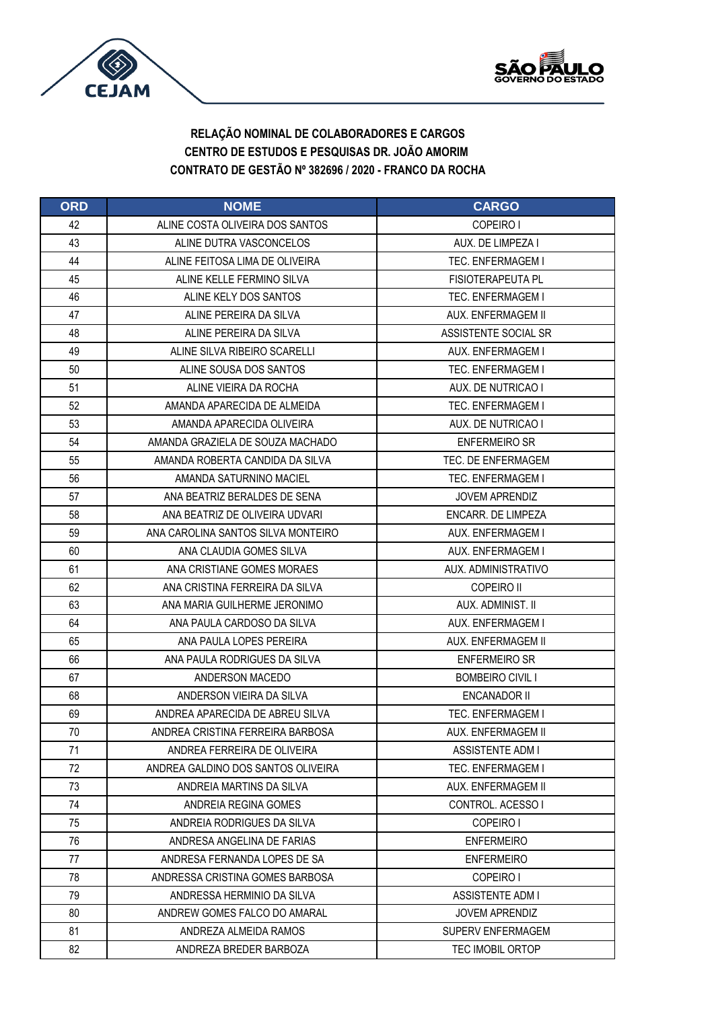



| <b>ORD</b> | <b>NOME</b>                        | <b>CARGO</b>             |
|------------|------------------------------------|--------------------------|
| 42         | ALINE COSTA OLIVEIRA DOS SANTOS    | COPEIRO I                |
| 43         | ALINE DUTRA VASCONCELOS            | AUX. DE LIMPEZA I        |
| 44         | ALINE FEITOSA LIMA DE OLIVEIRA     | TEC. ENFERMAGEM I        |
| 45         | ALINE KELLE FERMINO SILVA          | <b>FISIOTERAPEUTA PL</b> |
| 46         | ALINE KELY DOS SANTOS              | TEC. ENFERMAGEM I        |
| 47         | ALINE PEREIRA DA SILVA             | AUX. ENFERMAGEM II       |
| 48         | ALINE PEREIRA DA SILVA             | ASSISTENTE SOCIAL SR     |
| 49         | ALINE SILVA RIBEIRO SCARELLI       | AUX. ENFERMAGEM I        |
| 50         | ALINE SOUSA DOS SANTOS             | <b>TEC. ENFERMAGEM I</b> |
| 51         | ALINE VIEIRA DA ROCHA              | AUX. DE NUTRICAO I       |
| 52         | AMANDA APARECIDA DE ALMEIDA        | TEC. ENFERMAGEM I        |
| 53         | AMANDA APARECIDA OLIVEIRA          | AUX. DE NUTRICAO I       |
| 54         | AMANDA GRAZIELA DE SOUZA MACHADO   | <b>ENFERMEIRO SR</b>     |
| 55         | AMANDA ROBERTA CANDIDA DA SILVA    | TEC. DE ENFERMAGEM       |
| 56         | AMANDA SATURNINO MACIEL            | TEC. ENFERMAGEM I        |
| 57         | ANA BEATRIZ BERALDES DE SENA       | <b>JOVEM APRENDIZ</b>    |
| 58         | ANA BEATRIZ DE OLIVEIRA UDVARI     | ENCARR. DE LIMPEZA       |
| 59         | ANA CAROLINA SANTOS SILVA MONTEIRO | AUX. ENFERMAGEM I        |
| 60         | ANA CLAUDIA GOMES SILVA            | AUX. ENFERMAGEM I        |
| 61         | ANA CRISTIANE GOMES MORAES         | AUX. ADMINISTRATIVO      |
| 62         | ANA CRISTINA FERREIRA DA SILVA     | <b>COPEIRO II</b>        |
| 63         | ANA MARIA GUILHERME JERONIMO       | AUX. ADMINIST. II        |
| 64         | ANA PAULA CARDOSO DA SILVA         | AUX. ENFERMAGEM I        |
| 65         | ANA PAULA LOPES PEREIRA            | AUX. ENFERMAGEM II       |
| 66         | ANA PAULA RODRIGUES DA SILVA       | <b>ENFERMEIRO SR</b>     |
| 67         | ANDERSON MACEDO                    | <b>BOMBEIRO CIVIL I</b>  |
| 68         | ANDERSON VIEIRA DA SILVA           | ENCANADOR II             |
| 69         | ANDREA APARECIDA DE ABREU SILVA    | <b>TEC. ENFERMAGEM I</b> |
| 70         | ANDREA CRISTINA FERREIRA BARBOSA   | AUX. ENFERMAGEM II       |
| 71         | ANDREA FERREIRA DE OLIVEIRA        | <b>ASSISTENTE ADM I</b>  |
| 72         | ANDREA GALDINO DOS SANTOS OLIVEIRA | <b>TEC. ENFERMAGEM I</b> |
| 73         | ANDREIA MARTINS DA SILVA           | AUX. ENFERMAGEM II       |
| 74         | ANDREIA REGINA GOMES               | CONTROL, ACESSO I        |
| 75         | ANDREIA RODRIGUES DA SILVA         | COPEIRO I                |
| 76         | ANDRESA ANGELINA DE FARIAS         | <b>ENFERMEIRO</b>        |
| 77         | ANDRESA FERNANDA LOPES DE SA       | <b>ENFERMEIRO</b>        |
| 78         | ANDRESSA CRISTINA GOMES BARBOSA    | COPEIRO I                |
| 79         | ANDRESSA HERMINIO DA SILVA         | <b>ASSISTENTE ADM I</b>  |
| 80         | ANDREW GOMES FALCO DO AMARAL       | <b>JOVEM APRENDIZ</b>    |
| 81         | ANDREZA ALMEIDA RAMOS              | SUPERV ENFERMAGEM        |
| 82         | ANDREZA BREDER BARBOZA             | <b>TEC IMOBIL ORTOP</b>  |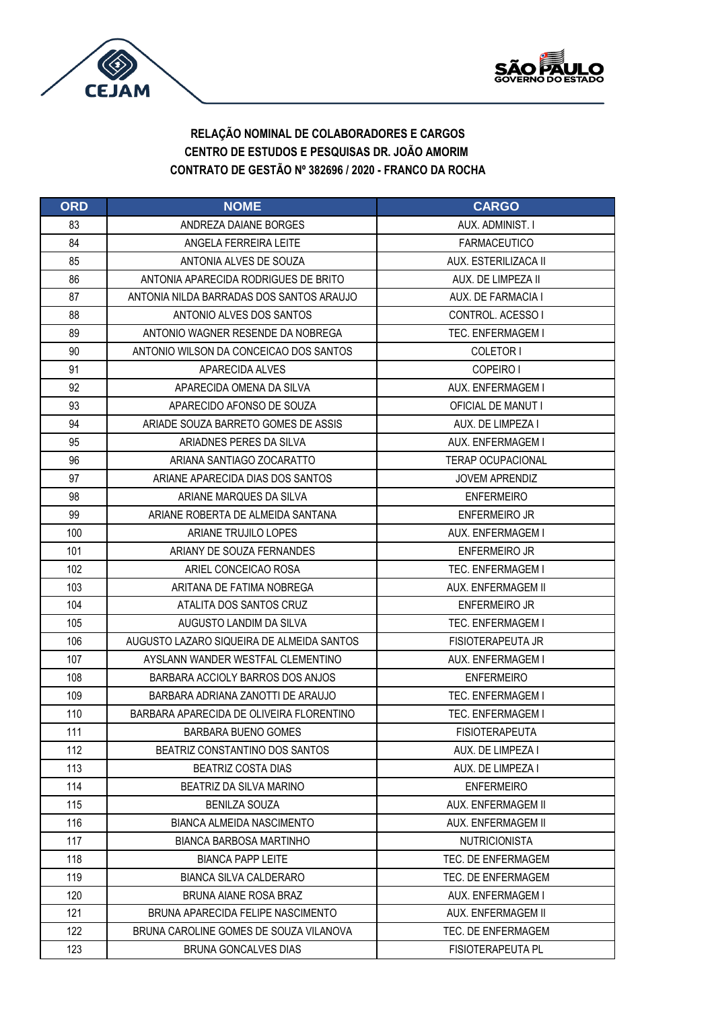



| <b>ORD</b> | <b>NOME</b>                               | <b>CARGO</b>             |
|------------|-------------------------------------------|--------------------------|
| 83         | ANDREZA DAIANE BORGES                     | AUX. ADMINIST. I         |
| 84         | ANGELA FERREIRA LEITE                     | <b>FARMACEUTICO</b>      |
| 85         | ANTONIA ALVES DE SOUZA                    | AUX. ESTERILIZACA II     |
| 86         | ANTONIA APARECIDA RODRIGUES DE BRITO      | AUX. DE LIMPEZA II       |
| 87         | ANTONIA NILDA BARRADAS DOS SANTOS ARAUJO  | AUX. DE FARMACIA I       |
| 88         | ANTONIO ALVES DOS SANTOS                  | CONTROL, ACESSO I        |
| 89         | ANTONIO WAGNER RESENDE DA NOBREGA         | TEC. ENFERMAGEM I        |
| 90         | ANTONIO WILSON DA CONCEICAO DOS SANTOS    | COLETOR I                |
| 91         | APARECIDA ALVES                           | COPEIRO I                |
| 92         | APARECIDA OMENA DA SILVA                  | AUX. ENFERMAGEM I        |
| 93         | APARECIDO AFONSO DE SOUZA                 | OFICIAL DE MANUT I       |
| 94         | ARIADE SOUZA BARRETO GOMES DE ASSIS       | AUX. DE LIMPEZA I        |
| 95         | ARIADNES PERES DA SILVA                   | AUX. ENFERMAGEM I        |
| 96         | ARIANA SANTIAGO ZOCARATTO                 | <b>TERAP OCUPACIONAL</b> |
| 97         | ARIANE APARECIDA DIAS DOS SANTOS          | <b>JOVEM APRENDIZ</b>    |
| 98         | ARIANE MARQUES DA SILVA                   | <b>ENFERMEIRO</b>        |
| 99         | ARIANE ROBERTA DE ALMEIDA SANTANA         | <b>ENFERMEIRO JR</b>     |
| 100        | ARIANE TRUJILO LOPES                      | AUX. ENFERMAGEM I        |
| 101        | ARIANY DE SOUZA FERNANDES                 | <b>ENFERMEIRO JR</b>     |
| 102        | ARIEL CONCEICAO ROSA                      | <b>TEC. ENFERMAGEM I</b> |
| 103        | ARITANA DE FATIMA NOBREGA                 | AUX. ENFERMAGEM II       |
| 104        | ATALITA DOS SANTOS CRUZ                   | <b>ENFERMEIRO JR</b>     |
| 105        | AUGUSTO LANDIM DA SILVA                   | <b>TEC. ENFERMAGEM I</b> |
| 106        | AUGUSTO LAZARO SIQUEIRA DE ALMEIDA SANTOS | <b>FISIOTERAPEUTA JR</b> |
| 107        | AYSLANN WANDER WESTFAL CLEMENTINO         | AUX. ENFERMAGEM I        |
| 108        | BARBARA ACCIOLY BARROS DOS ANJOS          | <b>ENFERMEIRO</b>        |
| 109        | BARBARA ADRIANA ZANOTTI DE ARAUJO         | <b>TEC. ENFERMAGEM I</b> |
| 110        | BARBARA APARECIDA DE OLIVEIRA FLORENTINO  | <b>TEC. ENFERMAGEM I</b> |
| 111        | <b>BARBARA BUENO GOMES</b>                | <b>FISIOTERAPEUTA</b>    |
| 112        | BEATRIZ CONSTANTINO DOS SANTOS            | AUX. DE LIMPEZA I        |
| 113        | <b>BEATRIZ COSTA DIAS</b>                 | AUX. DE LIMPEZA I        |
| 114        | BEATRIZ DA SILVA MARINO                   | <b>ENFERMEIRO</b>        |
| 115        | <b>BENILZA SOUZA</b>                      | AUX. ENFERMAGEM II       |
| 116        | <b>BIANCA ALMEIDA NASCIMENTO</b>          | AUX. ENFERMAGEM II       |
| 117        | <b>BIANCA BARBOSA MARTINHO</b>            | <b>NUTRICIONISTA</b>     |
| 118        | <b>BIANCA PAPP LEITE</b>                  | TEC. DE ENFERMAGEM       |
| 119        | <b>BIANCA SILVA CALDERARO</b>             | TEC. DE ENFERMAGEM       |
| 120        | BRUNA AIANE ROSA BRAZ                     | AUX. ENFERMAGEM I        |
| 121        | BRUNA APARECIDA FELIPE NASCIMENTO         | AUX. ENFERMAGEM II       |
| 122        | BRUNA CAROLINE GOMES DE SOUZA VILANOVA    | TEC. DE ENFERMAGEM       |
| 123        | <b>BRUNA GONCALVES DIAS</b>               | <b>FISIOTERAPEUTA PL</b> |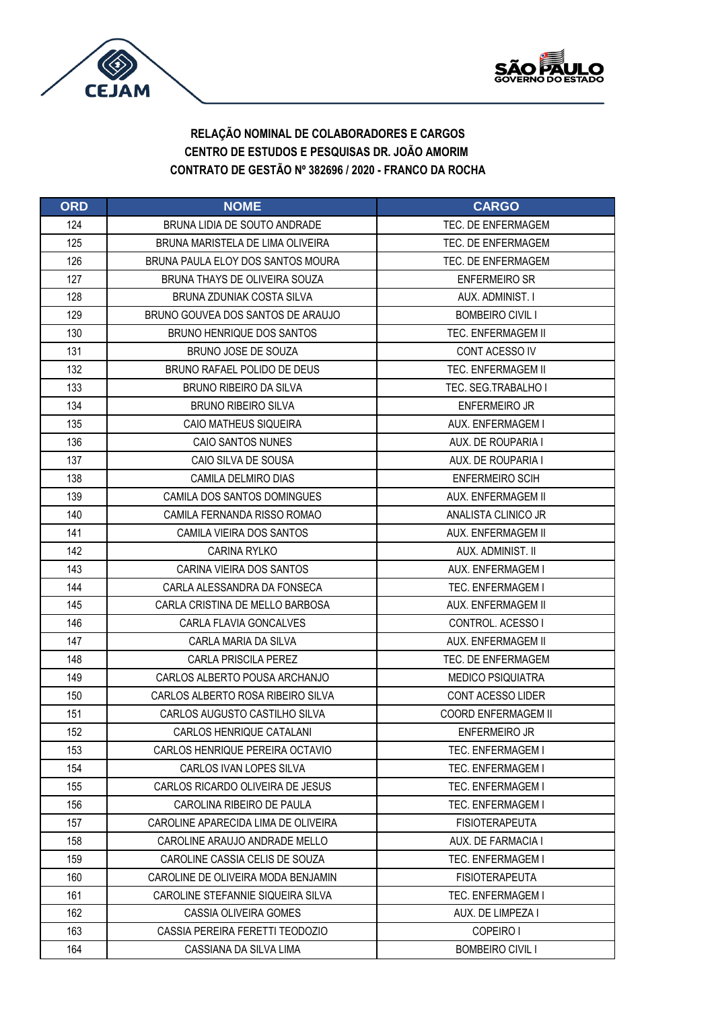



| <b>ORD</b> | <b>NOME</b>                         | <b>CARGO</b>               |
|------------|-------------------------------------|----------------------------|
| 124        | BRUNA LIDIA DE SOUTO ANDRADE        | TEC. DE ENFERMAGEM         |
| 125        | BRUNA MARISTELA DE LIMA OLIVEIRA    | TEC. DE ENFERMAGEM         |
| 126        | BRUNA PAULA ELOY DOS SANTOS MOURA   | TEC. DE ENFERMAGEM         |
| 127        | BRUNA THAYS DE OLIVEIRA SOUZA       | <b>ENFERMEIRO SR</b>       |
| 128        | BRUNA ZDUNIAK COSTA SILVA           | AUX. ADMINIST. I           |
| 129        | BRUNO GOUVEA DOS SANTOS DE ARAUJO   | <b>BOMBEIRO CIVIL I</b>    |
| 130        | <b>BRUNO HENRIQUE DOS SANTOS</b>    | TEC. ENFERMAGEM II         |
| 131        | BRUNO JOSE DE SOUZA                 | CONT ACESSO IV             |
| 132        | BRUNO RAFAEL POLIDO DE DEUS         | <b>TEC. ENFERMAGEM II</b>  |
| 133        | <b>BRUNO RIBEIRO DA SILVA</b>       | TEC. SEG.TRABALHO I        |
| 134        | <b>BRUNO RIBEIRO SILVA</b>          | <b>ENFERMEIRO JR</b>       |
| 135        | CAIO MATHEUS SIQUEIRA               | AUX. ENFERMAGEM I          |
| 136        | <b>CAIO SANTOS NUNES</b>            | AUX. DE ROUPARIA I         |
| 137        | CAIO SILVA DE SOUSA                 | AUX. DE ROUPARIA I         |
| 138        | CAMILA DELMIRO DIAS                 | <b>ENFERMEIRO SCIH</b>     |
| 139        | CAMILA DOS SANTOS DOMINGUES         | AUX. ENFERMAGEM II         |
| 140        | CAMILA FERNANDA RISSO ROMAO         | ANALISTA CLINICO JR        |
| 141        | CAMILA VIEIRA DOS SANTOS            | AUX. ENFERMAGEM II         |
| 142        | <b>CARINA RYLKO</b>                 | AUX. ADMINIST. II          |
| 143        | CARINA VIEIRA DOS SANTOS            | AUX. ENFERMAGEM I          |
| 144        | CARLA ALESSANDRA DA FONSECA         | <b>TEC. ENFERMAGEM I</b>   |
| 145        | CARLA CRISTINA DE MELLO BARBOSA     | AUX. ENFERMAGEM II         |
| 146        | CARLA FLAVIA GONCALVES              | CONTROL. ACESSO I          |
| 147        | CARLA MARIA DA SILVA                | AUX. ENFERMAGEM II         |
| 148        | <b>CARLA PRISCILA PEREZ</b>         | TEC. DE ENFERMAGEM         |
| 149        | CARLOS ALBERTO POUSA ARCHANJO       | <b>MEDICO PSIQUIATRA</b>   |
| 150        | CARLOS ALBERTO ROSA RIBEIRO SILVA   | <b>CONT ACESSO LIDER</b>   |
| 151        | CARLOS AUGUSTO CASTILHO SILVA       | <b>COORD ENFERMAGEM II</b> |
| 152        | CARLOS HENRIQUE CATALANI            | <b>ENFERMEIRO JR</b>       |
| 153        | CARLOS HENRIQUE PEREIRA OCTAVIO     | TEC. ENFERMAGEM I          |
| 154        | CARLOS IVAN LOPES SILVA             | <b>TEC. ENFERMAGEM I</b>   |
| 155        | CARLOS RICARDO OLIVEIRA DE JESUS    | TEC. ENFERMAGEM I          |
| 156        | CAROLINA RIBEIRO DE PAULA           | <b>TEC. ENFERMAGEM I</b>   |
| 157        | CAROLINE APARECIDA LIMA DE OLIVEIRA | <b>FISIOTERAPEUTA</b>      |
| 158        | CAROLINE ARAUJO ANDRADE MELLO       | AUX. DE FARMACIA I         |
| 159        | CAROLINE CASSIA CELIS DE SOUZA      | TEC. ENFERMAGEM I          |
| 160        | CAROLINE DE OLIVEIRA MODA BENJAMIN  | <b>FISIOTERAPEUTA</b>      |
| 161        | CAROLINE STEFANNIE SIQUEIRA SILVA   | TEC. ENFERMAGEM I          |
| 162        | CASSIA OLIVEIRA GOMES               | AUX. DE LIMPEZA I          |
| 163        | CASSIA PEREIRA FERETTI TEODOZIO     | COPEIRO I                  |
| 164        | CASSIANA DA SILVA LIMA              | <b>BOMBEIRO CIVIL I</b>    |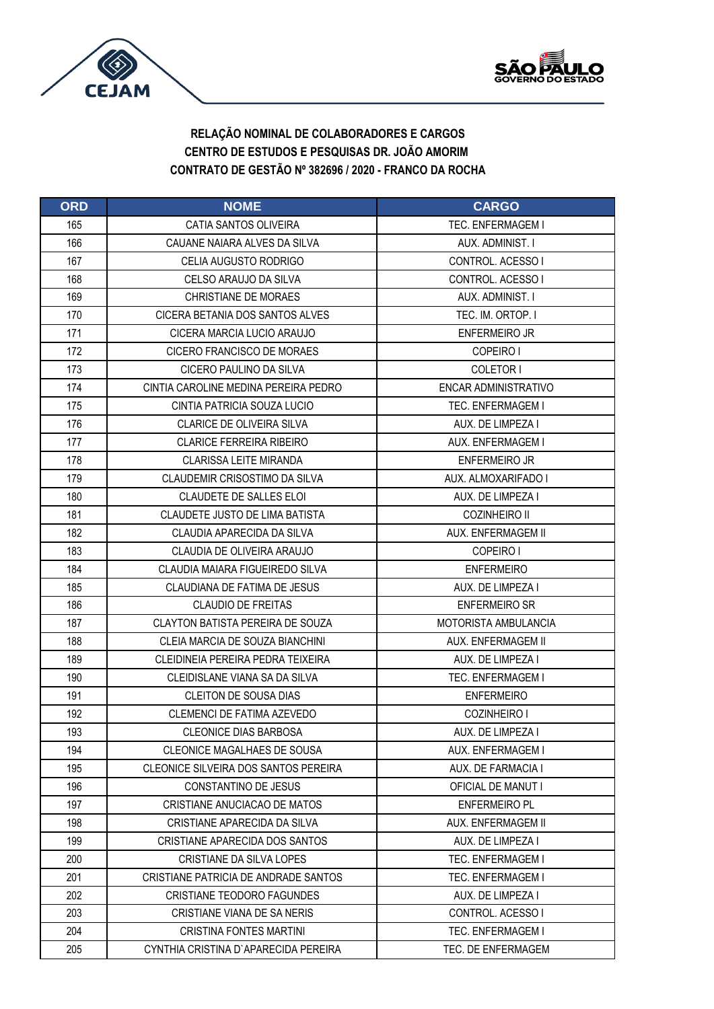



| <b>ORD</b> | <b>NOME</b>                           | <b>CARGO</b>             |
|------------|---------------------------------------|--------------------------|
| 165        | CATIA SANTOS OLIVEIRA                 | <b>TEC. ENFERMAGEM I</b> |
| 166        | CAUANE NAIARA AI VES DA SILVA         | AUX. ADMINIST. I         |
| 167        | CELIA AUGUSTO RODRIGO                 | CONTROL. ACESSO I        |
| 168        | CELSO ARAUJO DA SILVA                 | CONTROL. ACESSO I        |
| 169        | <b>CHRISTIANE DE MORAES</b>           | AUX. ADMINIST. I         |
| 170        | CICERA BETANIA DOS SANTOS ALVES       | TEC. IM. ORTOP. I        |
| 171        | CICERA MARCIA LUCIO ARAUJO            | <b>ENFERMEIRO JR</b>     |
| 172        | CICERO FRANCISCO DE MORAES            | COPEIRO I                |
| 173        | CICERO PAULINO DA SILVA               | COLETOR I                |
| 174        | CINTIA CAROLINE MEDINA PEREIRA PEDRO  | ENCAR ADMINISTRATIVO     |
| 175        | CINTIA PATRICIA SOUZA LUCIO           | TEC. ENFERMAGEM I        |
| 176        | <b>CLARICE DE OLIVEIRA SILVA</b>      | AUX. DE LIMPEZA I        |
| 177        | <b>CLARICE FERREIRA RIBEIRO</b>       | AUX. ENFERMAGEM I        |
| 178        | <b>CLARISSA LEITE MIRANDA</b>         | <b>ENFERMEIRO JR</b>     |
| 179        | CLAUDEMIR CRISOSTIMO DA SILVA         | AUX. ALMOXARIFADO I      |
| 180        | <b>CLAUDETE DE SALLES ELOI</b>        | AUX. DE LIMPEZA I        |
| 181        | <b>CLAUDETE JUSTO DE LIMA BATISTA</b> | <b>COZINHEIRO II</b>     |
| 182        | CLAUDIA APARECIDA DA SILVA            | AUX. ENFERMAGEM II       |
| 183        | CLAUDIA DE OLIVEIRA ARAUJO            | COPEIRO I                |
| 184        | CLAUDIA MAIARA FIGUEIREDO SILVA       | <b>ENFERMEIRO</b>        |
| 185        | CLAUDIANA DE FATIMA DE JESUS          | AUX. DE LIMPEZA I        |
| 186        | <b>CLAUDIO DE FREITAS</b>             | <b>ENFERMEIRO SR</b>     |
| 187        | CLAYTON BATISTA PEREIRA DE SOUZA      | MOTORISTA AMBULANCIA     |
| 188        | CLEIA MARCIA DE SOUZA BIANCHINI       | AUX. ENFERMAGEM II       |
| 189        | CLEIDINEIA PEREIRA PEDRA TEIXEIRA     | AUX. DE LIMPEZA I        |
| 190        | CLEIDISLANE VIANA SA DA SILVA         | <b>TEC. ENFERMAGEM I</b> |
| 191        | <b>CLEITON DE SOUSA DIAS</b>          | <b>ENFERMEIRO</b>        |
| 192        | CLEMENCI DE FATIMA AZEVEDO            | COZINHEIRO I             |
| 193        | <b>CLEONICE DIAS BARBOSA</b>          | AUX. DE LIMPEZA I        |
| 194        | CLEONICE MAGALHAES DE SOUSA           | AUX. ENFERMAGEM I        |
| 195        | CLEONICE SILVEIRA DOS SANTOS PEREIRA  | AUX. DE FARMACIA I       |
| 196        | CONSTANTINO DE JESUS                  | OFICIAL DE MANUT I       |
| 197        | CRISTIANE ANUCIACAO DE MATOS          | <b>ENFERMEIRO PL</b>     |
| 198        | CRISTIANE APARECIDA DA SILVA          | AUX. ENFERMAGEM II       |
| 199        | CRISTIANE APARECIDA DOS SANTOS        | AUX. DE LIMPEZA I        |
| 200        | CRISTIANE DA SILVA LOPES              | TEC. ENFERMAGEM I        |
| 201        | CRISTIANE PATRICIA DE ANDRADE SANTOS  | <b>TEC. ENFERMAGEM I</b> |
| 202        | CRISTIANE TEODORO FAGUNDES            | AUX. DE LIMPEZA I        |
| 203        | CRISTIANE VIANA DE SA NERIS           | CONTROL. ACESSO I        |
| 204        | <b>CRISTINA FONTES MARTINI</b>        | TEC. ENFERMAGEM I        |
| 205        | CYNTHIA CRISTINA D`APARECIDA PEREIRA  | TEC. DE ENFERMAGEM       |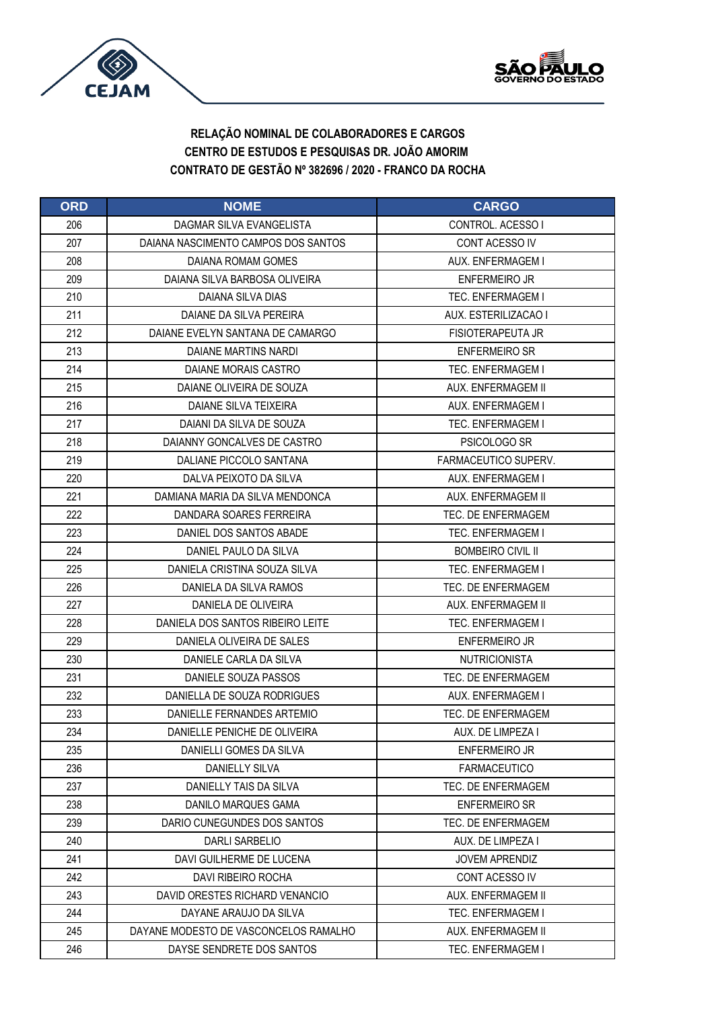



| <b>ORD</b> | <b>NOME</b>                           | <b>CARGO</b>             |
|------------|---------------------------------------|--------------------------|
| 206        | DAGMAR SILVA EVANGELISTA              | CONTROL, ACESSO I        |
| 207        | DAIANA NASCIMENTO CAMPOS DOS SANTOS   | CONT ACESSO IV           |
| 208        | DAIANA ROMAM GOMES                    | AUX. ENFERMAGEM I        |
| 209        | DAIANA SILVA BARBOSA OLIVEIRA         | <b>ENFERMEIRO JR</b>     |
| 210        | DAIANA SILVA DIAS                     | TEC. ENFERMAGEM I        |
| 211        | DAIANE DA SILVA PEREIRA               | AUX. ESTERILIZACAO I     |
| 212        | DAIANE EVELYN SANTANA DE CAMARGO      | FISIOTERAPEUTA JR        |
| 213        | DAIANE MARTINS NARDI                  | <b>ENFERMEIRO SR</b>     |
| 214        | DAIANE MORAIS CASTRO                  | <b>TEC. ENFERMAGEM I</b> |
| 215        | DAIANE OLIVEIRA DE SOUZA              | AUX. ENFERMAGEM II       |
| 216        | DAIANE SILVA TEIXEIRA                 | AUX. ENFERMAGEM I        |
| 217        | DAIANI DA SILVA DE SOUZA              | <b>TEC. ENFERMAGEM I</b> |
| 218        | DAIANNY GONCALVES DE CASTRO           | PSICOLOGO SR             |
| 219        | DALIANE PICCOLO SANTANA               | FARMACEUTICO SUPERV.     |
| 220        | DALVA PEIXOTO DA SILVA                | AUX. ENFERMAGEM I        |
| 221        | DAMIANA MARIA DA SILVA MENDONCA       | AUX. ENFERMAGEM II       |
| 222        | DANDARA SOARES FERREIRA               | TEC. DE ENFERMAGEM       |
| 223        | DANIEL DOS SANTOS ABADE               | <b>TEC. ENFERMAGEM I</b> |
| 224        | DANIEL PAULO DA SILVA                 | <b>BOMBEIRO CIVIL II</b> |
| 225        | DANIELA CRISTINA SOUZA SILVA          | <b>TEC. ENFERMAGEM I</b> |
| 226        | DANIELA DA SILVA RAMOS                | TEC. DE ENFERMAGEM       |
| 227        | DANIELA DE OLIVEIRA                   | AUX. ENFERMAGEM II       |
| 228        | DANIELA DOS SANTOS RIBEIRO LEITE      | TEC. ENFERMAGEM I        |
| 229        | DANIELA OLIVEIRA DE SALES             | <b>ENFERMEIRO JR</b>     |
| 230        | DANIELE CARLA DA SILVA                | <b>NUTRICIONISTA</b>     |
| 231        | DANIELE SOUZA PASSOS                  | TEC. DE ENFERMAGEM       |
| 232        | DANIELLA DE SOUZA RODRIGUES           | AUX. ENFERMAGEM I        |
| 233        | DANIELLE FERNANDES ARTEMIO            | TEC. DE ENFERMAGEM       |
| 234        | DANIELLE PENICHE DE OLIVEIRA          | AUX. DE LIMPEZA I        |
| 235        | DANIELLI GOMES DA SILVA               | <b>ENFERMEIRO JR</b>     |
| 236        | DANIELLY SILVA                        | <b>FARMACEUTICO</b>      |
| 237        | DANIELLY TAIS DA SILVA                | TEC. DE ENFERMAGEM       |
| 238        | DANILO MARQUES GAMA                   | <b>ENFERMEIRO SR</b>     |
| 239        | DARIO CUNEGUNDES DOS SANTOS           | TEC. DE ENFERMAGEM       |
| 240        | DARLI SARBELIO                        | AUX. DE LIMPEZA I        |
| 241        | DAVI GUILHERME DE LUCENA              | <b>JOVEM APRENDIZ</b>    |
| 242        | DAVI RIBEIRO ROCHA                    | CONT ACESSO IV           |
| 243        | DAVID ORESTES RICHARD VENANCIO        | AUX. ENFERMAGEM II       |
| 244        | DAYANE ARAUJO DA SILVA                | <b>TEC. ENFERMAGEM I</b> |
| 245        | DAYANE MODESTO DE VASCONCELOS RAMALHO | AUX. ENFERMAGEM II       |
| 246        | DAYSE SENDRETE DOS SANTOS             | TEC. ENFERMAGEM I        |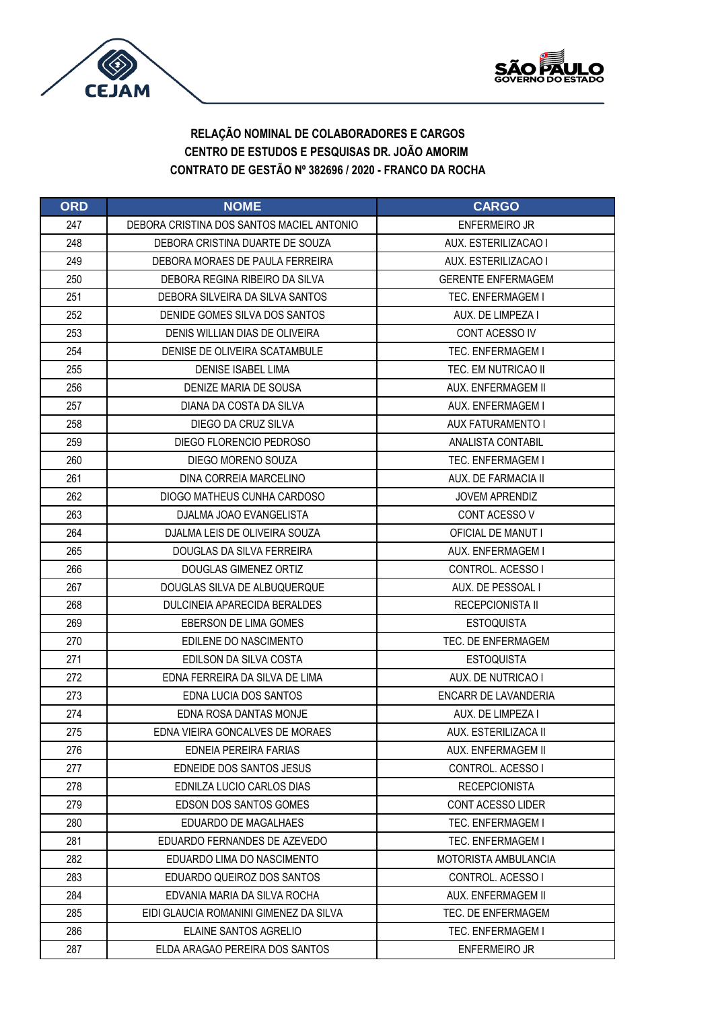



| <b>ORD</b> | <b>NOME</b>                               | <b>CARGO</b>              |
|------------|-------------------------------------------|---------------------------|
| 247        | DEBORA CRISTINA DOS SANTOS MACIEL ANTONIO | <b>ENFERMEIRO JR</b>      |
| 248        | DEBORA CRISTINA DUARTE DE SOUZA           | AUX. ESTERILIZACAO I      |
| 249        | DEBORA MORAES DE PAULA FERREIRA           | AUX. ESTERILIZACAO I      |
| 250        | DEBORA REGINA RIBEIRO DA SILVA            | <b>GERENTE ENFERMAGEM</b> |
| 251        | DEBORA SILVEIRA DA SILVA SANTOS           | <b>TEC. ENFERMAGEM I</b>  |
| 252        | DENIDE GOMES SILVA DOS SANTOS             | AUX. DE LIMPEZA I         |
| 253        | DENIS WILLIAN DIAS DE OLIVEIRA            | CONT ACESSO IV            |
| 254        | DENISE DE OLIVEIRA SCATAMBULE             | <b>TEC. ENFERMAGEM I</b>  |
| 255        | DENISE ISABEL LIMA                        | TEC. EM NUTRICAO II       |
| 256        | DENIZE MARIA DE SOUSA                     | AUX. ENFERMAGEM II        |
| 257        | DIANA DA COSTA DA SILVA                   | AUX. ENFERMAGEM I         |
| 258        | DIEGO DA CRUZ SILVA                       | <b>AUX FATURAMENTO I</b>  |
| 259        | DIEGO FLORENCIO PEDROSO                   | <b>ANALISTA CONTABIL</b>  |
| 260        | DIEGO MORENO SOUZA                        | <b>TEC. ENFERMAGEM I</b>  |
| 261        | DINA CORREIA MARCELINO                    | AUX. DE FARMACIA II       |
| 262        | DIOGO MATHEUS CUNHA CARDOSO               | <b>JOVEM APRENDIZ</b>     |
| 263        | DJALMA JOAO EVANGELISTA                   | CONT ACESSO V             |
| 264        | DJALMA LEIS DE OLIVEIRA SOUZA             | OFICIAL DE MANUT I        |
| 265        | DOUGLAS DA SILVA FERREIRA                 | AUX. ENFERMAGEM I         |
| 266        | DOUGLAS GIMENEZ ORTIZ                     | CONTROL, ACESSO I         |
| 267        | DOUGLAS SILVA DE ALBUQUERQUE              | AUX. DE PESSOAL I         |
| 268        | DULCINEIA APARECIDA BERALDES              | <b>RECEPCIONISTA II</b>   |
| 269        | EBERSON DE LIMA GOMES                     | <b>ESTOQUISTA</b>         |
| 270        | EDILENE DO NASCIMENTO                     | TEC. DE ENFERMAGEM        |
| 271        | EDILSON DA SILVA COSTA                    | <b>ESTOQUISTA</b>         |
| 272        | EDNA FERREIRA DA SILVA DE LIMA            | AUX. DE NUTRICAO I        |
| 273        | EDNA LUCIA DOS SANTOS                     | ENCARR DE LAVANDERIA      |
| 274        | EDNA ROSA DANTAS MONJE                    | AUX. DE LIMPEZA I         |
| 275        | EDNA VIEIRA GONCALVES DE MORAES           | AUX. ESTERILIZACA II      |
| 276        | EDNEIA PEREIRA FARIAS                     | AUX. ENFERMAGEM II        |
| 277        | EDNEIDE DOS SANTOS JESUS                  | CONTROL. ACESSO I         |
| 278        | EDNILZA LUCIO CARLOS DIAS                 | <b>RECEPCIONISTA</b>      |
| 279        | <b>EDSON DOS SANTOS GOMES</b>             | <b>CONT ACESSO LIDER</b>  |
| 280        | EDUARDO DE MAGALHAES                      | TEC. ENFERMAGEM I         |
| 281        | EDUARDO FERNANDES DE AZEVEDO              | <b>TEC. ENFERMAGEM I</b>  |
| 282        | EDUARDO LIMA DO NASCIMENTO                | MOTORISTA AMBULANCIA      |
| 283        | EDUARDO QUEIROZ DOS SANTOS                | CONTROL, ACESSO I         |
| 284        | EDVANIA MARIA DA SILVA ROCHA              | AUX. ENFERMAGEM II        |
| 285        | EIDI GLAUCIA ROMANINI GIMENEZ DA SILVA    | TEC. DE ENFERMAGEM        |
| 286        | ELAINE SANTOS AGRELIO                     | TEC. ENFERMAGEM I         |
| 287        | ELDA ARAGAO PEREIRA DOS SANTOS            | ENFERMEIRO JR             |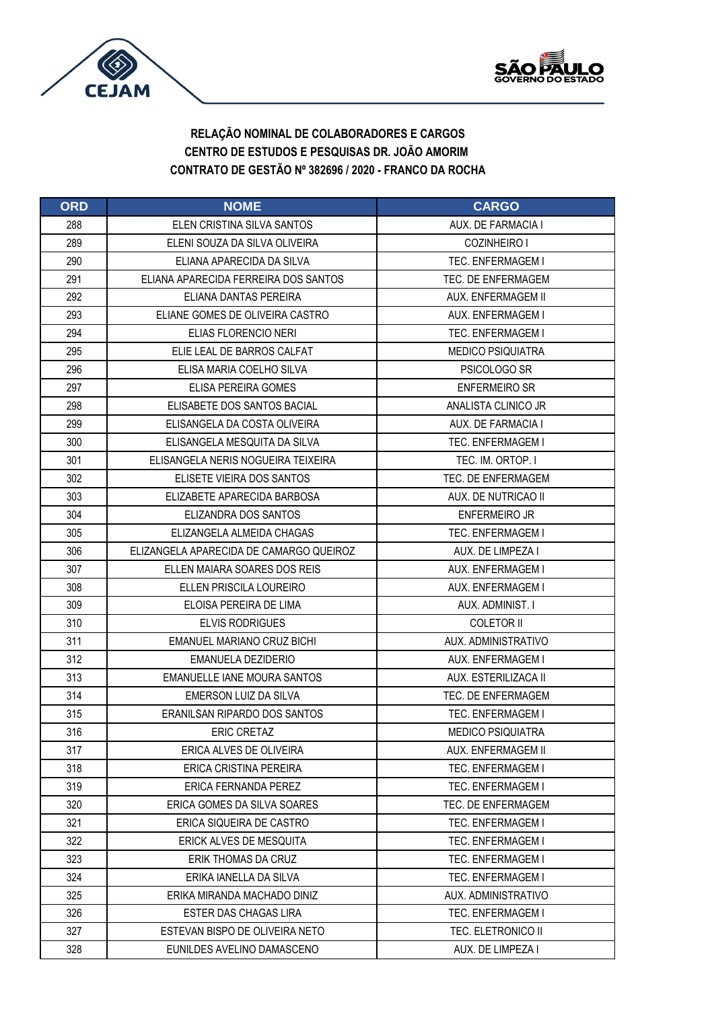



| <b>ORD</b> | <b>NOME</b>                             | <b>CARGO</b>             |
|------------|-----------------------------------------|--------------------------|
| 288        | ELEN CRISTINA SILVA SANTOS              | AUX. DE FARMACIA I       |
| 289        | ELENI SOUZA DA SILVA OLIVEIRA           | COZINHEIRO I             |
| 290        | ELIANA APARECIDA DA SILVA               | <b>TEC. ENFERMAGEM I</b> |
| 291        | ELIANA APARECIDA FERREIRA DOS SANTOS    | TEC. DE ENFERMAGEM       |
| 292        | ELIANA DANTAS PEREIRA                   | AUX. ENFERMAGEM II       |
| 293        | ELIANE GOMES DE OLIVEIRA CASTRO         | AUX. ENFERMAGEM I        |
| 294        | ELIAS FLORENCIO NERI                    | TEC. ENFERMAGEM I        |
| 295        | ELIE LEAL DE BARROS CALFAT              | <b>MEDICO PSIQUIATRA</b> |
| 296        | ELISA MARIA COELHO SILVA                | PSICOLOGO SR             |
| 297        | ELISA PEREIRA GOMES                     | <b>ENFERMEIRO SR</b>     |
| 298        | ELISABETE DOS SANTOS BACIAL             | ANALISTA CLINICO JR      |
| 299        | ELISANGELA DA COSTA OLIVEIRA            | AUX. DE FARMACIA I       |
| 300        | ELISANGELA MESQUITA DA SILVA            | TEC. ENFERMAGEM I        |
| 301        | ELISANGELA NERIS NOGUEIRA TEIXEIRA      | TEC. IM. ORTOP. I        |
| 302        | ELISETE VIEIRA DOS SANTOS               | TEC. DE ENFERMAGEM       |
| 303        | ELIZABETE APARECIDA BARBOSA             | AUX. DE NUTRICAO II      |
| 304        | ELIZANDRA DOS SANTOS                    | <b>ENFERMEIRO JR</b>     |
| 305        | ELIZANGELA ALMEIDA CHAGAS               | <b>TEC. ENFERMAGEM I</b> |
| 306        | ELIZANGELA APARECIDA DE CAMARGO QUEIROZ | AUX. DE LIMPEZA I        |
| 307        | ELLEN MAJARA SOARES DOS REIS            | AUX. ENFERMAGEM I        |
| 308        | ELLEN PRISCILA LOUREIRO                 | AUX. ENFERMAGEM I        |
| 309        | ELOISA PEREIRA DE LIMA                  | AUX. ADMINIST. I         |
| 310        | <b>ELVIS RODRIGUES</b>                  | <b>COLETOR II</b>        |
| 311        | EMANUEL MARIANO CRUZ BICHI              | AUX. ADMINISTRATIVO      |
| 312        | EMANUELA DEZIDERIO                      | AUX. ENFERMAGEM I        |
| 313        | EMANUELLE IANE MOURA SANTOS             | AUX. ESTERILIZACA II     |
| 314        | EMERSON LUIZ DA SILVA                   | TEC. DE ENFERMAGEM       |
| 315        | <b>ERANILSAN RIPARDO DOS SANTOS</b>     | <b>TEC. ENFERMAGEM I</b> |
| 316        | <b>ERIC CRETAZ</b>                      | <b>MEDICO PSIQUIATRA</b> |
| 317        | ERICA ALVES DE OLIVEIRA                 | AUX. ENFERMAGEM II       |
| 318        | ERICA CRISTINA PEREIRA                  | <b>TEC. ENFERMAGEM I</b> |
| 319        | ERICA FERNANDA PEREZ                    | TEC. ENFERMAGEM I        |
| 320        | ERICA GOMES DA SILVA SOARES             | TEC. DE ENFERMAGEM       |
| 321        | ERICA SIQUEIRA DE CASTRO                | TEC. ENFERMAGEM I        |
| 322        | ERICK ALVES DE MESQUITA                 | TEC. ENFERMAGEM I        |
| 323        | ERIK THOMAS DA CRUZ                     | <b>TEC. ENFERMAGEM I</b> |
| 324        | ERIKA IANELLA DA SILVA                  | <b>TEC. ENFERMAGEM I</b> |
| 325        | ERIKA MIRANDA MACHADO DINIZ             | AUX. ADMINISTRATIVO      |
| 326        | ESTER DAS CHAGAS LIRA                   | TEC. ENFERMAGEM I        |
| 327        | ESTEVAN BISPO DE OLIVEIRA NETO          | TEC. ELETRONICO II       |
| 328        | EUNILDES AVELINO DAMASCENO              | AUX. DE LIMPEZA I        |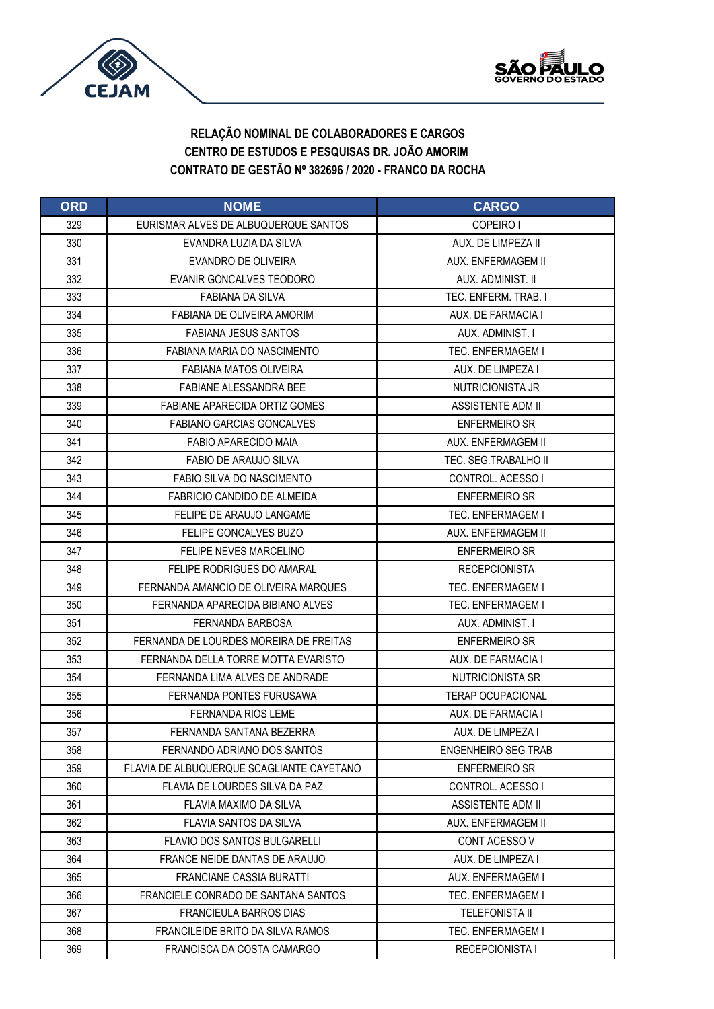



| <b>ORD</b> | <b>NOME</b>                               | <b>CARGO</b>               |
|------------|-------------------------------------------|----------------------------|
| 329        | EURISMAR ALVES DE ALBUQUERQUE SANTOS      | COPEIRO I                  |
| 330        | EVANDRA LUZIA DA SILVA                    | AUX. DE LIMPEZA II         |
| 331        | <b>EVANDRO DE OLIVEIRA</b>                | AUX. ENFERMAGEM II         |
| 332        | EVANIR GONCALVES TEODORO                  | AUX. ADMINIST. II          |
| 333        | <b>FABIANA DA SILVA</b>                   | TEC. ENFERM. TRAB. I       |
| 334        | FABIANA DE OLIVEIRA AMORIM                | AUX. DE FARMACIA I         |
| 335        | <b>FABIANA JESUS SANTOS</b>               | AUX. ADMINIST. I           |
| 336        | FABIANA MARIA DO NASCIMENTO               | <b>TEC. ENFERMAGEM I</b>   |
| 337        | FABIANA MATOS OLIVEIRA                    | AUX. DE LIMPEZA I          |
| 338        | <b>FABIANE ALESSANDRA BEE</b>             | NUTRICIONISTA JR           |
| 339        | FABIANE APARECIDA ORTIZ GOMES             | <b>ASSISTENTE ADM II</b>   |
| 340        | <b>FABIANO GARCIAS GONCALVES</b>          | <b>ENFERMEIRO SR</b>       |
| 341        | FABIO APARECIDO MAIA                      | AUX. ENFERMAGEM II         |
| 342        | <b>FABIO DE ARAUJO SILVA</b>              | TEC. SEG. TRABALHO III     |
| 343        | FABIO SILVA DO NASCIMENTO                 | CONTROL. ACESSO I          |
| 344        | FABRICIO CANDIDO DE ALMEIDA               | <b>ENFERMEIRO SR</b>       |
| 345        | FELIPE DE ARAUJO LANGAME                  | <b>TEC. ENFERMAGEM I</b>   |
| 346        | <b>FELIPE GONCALVES BUZO</b>              | AUX. ENFERMAGEM II         |
| 347        | FELIPE NEVES MARCELINO                    | <b>ENFERMEIRO SR</b>       |
| 348        | <b>FELIPE RODRIGUES DO AMARAL</b>         | <b>RECEPCIONISTA</b>       |
| 349        | FERNANDA AMANCIO DE OLIVEIRA MARQUES      | <b>TEC. ENFERMAGEM I</b>   |
| 350        | FERNANDA APARECIDA BIBIANO ALVES          | TEC. ENFERMAGEM I          |
| 351        | FERNANDA BARBOSA                          | AUX. ADMINIST. I           |
| 352        | FERNANDA DE LOURDES MOREIRA DE FREITAS    | <b>ENFERMEIRO SR</b>       |
| 353        | FERNANDA DELLA TORRE MOTTA EVARISTO       | AUX. DE FARMACIA I         |
| 354        | FERNANDA LIMA ALVES DE ANDRADE            | NUTRICIONISTA SR           |
| 355        | FERNANDA PONTES FURUSAWA                  | <b>TERAP OCUPACIONAL</b>   |
| 356        | <b>FERNANDA RIOS LEME</b>                 | AUX. DE FARMACIA I         |
| 357        | FERNANDA SANTANA BEZERRA                  | AUX. DE LIMPEZA I          |
| 358        | FERNANDO ADRIANO DOS SANTOS               | <b>ENGENHEIRO SEG TRAB</b> |
| 359        | FLAVIA DE ALBUQUERQUE SCAGLIANTE CAYETANO | <b>ENFERMEIRO SR</b>       |
| 360        | FLAVIA DE LOURDES SILVA DA PAZ            | CONTROL. ACESSO I          |
| 361        | FLAVIA MAXIMO DA SILVA                    | ASSISTENTE ADM II          |
| 362        | <b>FLAVIA SANTOS DA SILVA</b>             | AUX. ENFERMAGEM II         |
| 363        | <b>FLAVIO DOS SANTOS BULGARELLI</b>       | CONT ACESSO V              |
| 364        | FRANCE NEIDE DANTAS DE ARAUJO             | AUX. DE LIMPEZA I          |
| 365        | <b>FRANCIANE CASSIA BURATTI</b>           | AUX. ENFERMAGEM I          |
| 366        | FRANCIELE CONRADO DE SANTANA SANTOS       | TEC. ENFERMAGEM I          |
| 367        | FRANCIEULA BARROS DIAS                    | <b>TELEFONISTA II</b>      |
| 368        | FRANCILEIDE BRITO DA SILVA RAMOS          | <b>TEC. ENFERMAGEM I</b>   |
| 369        | FRANCISCA DA COSTA CAMARGO                | <b>RECEPCIONISTA I</b>     |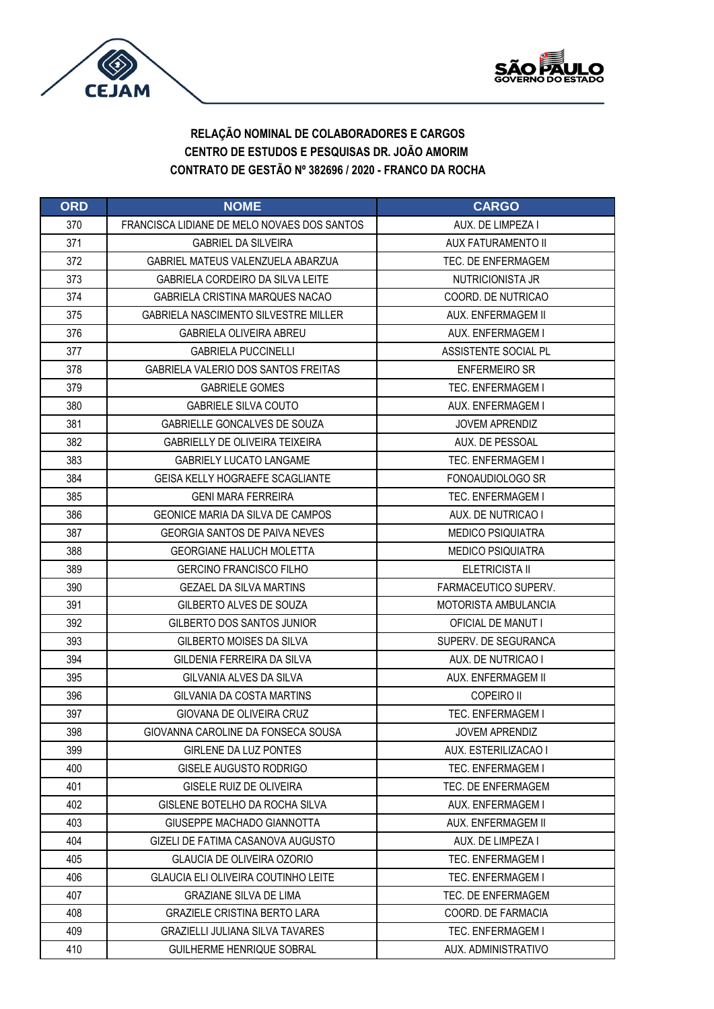



| <b>ORD</b> | <b>NOME</b>                                 | <b>CARGO</b>             |
|------------|---------------------------------------------|--------------------------|
| 370        | FRANCISCA LIDIANE DE MELO NOVAES DOS SANTOS | AUX. DE LIMPEZA I        |
| 371        | <b>GABRIEL DA SILVEIRA</b>                  | AUX FATURAMENTO II       |
| 372        | GABRIEL MATEUS VALENZUELA ABARZUA           | TEC. DE ENFERMAGEM       |
| 373        | <b>GABRIELA CORDEIRO DA SILVA LEITE</b>     | NUTRICIONISTA JR         |
| 374        | GABRIELA CRISTINA MARQUES NACAO             | COORD. DE NUTRICAO       |
| 375        | <b>GABRIELA NASCIMENTO SILVESTRE MILLER</b> | AUX. ENFERMAGEM II       |
| 376        | <b>GABRIELA OLIVEIRA ABREU</b>              | AUX. ENFERMAGEM I        |
| 377        | <b>GABRIELA PUCCINELLI</b>                  | ASSISTENTE SOCIAL PL     |
| 378        | GABRIELA VALERIO DOS SANTOS FREITAS         | <b>ENFERMEIRO SR</b>     |
| 379        | <b>GABRIELE GOMES</b>                       | <b>TEC. ENFERMAGEM I</b> |
| 380        | <b>GABRIELE SILVA COUTO</b>                 | AUX. ENFERMAGEM I        |
| 381        | GABRIELLE GONCALVES DE SOUZA                | <b>JOVEM APRENDIZ</b>    |
| 382        | GABRIELLY DE OLIVEIRA TEIXEIRA              | AUX. DE PESSOAL          |
| 383        | <b>GABRIELY LUCATO LANGAME</b>              | <b>TEC. ENFERMAGEM I</b> |
| 384        | GEISA KELLY HOGRAEFE SCAGLIANTE             | FONOAUDIOLOGO SR         |
| 385        | <b>GENI MARA FERREIRA</b>                   | <b>TEC. ENFERMAGEM I</b> |
| 386        | GEONICE MARIA DA SILVA DE CAMPOS            | AUX. DE NUTRICAO I       |
| 387        | <b>GEORGIA SANTOS DE PAIVA NEVES</b>        | <b>MEDICO PSIQUIATRA</b> |
| 388        | <b>GEORGIANE HALUCH MOLETTA</b>             | <b>MEDICO PSIQUIATRA</b> |
| 389        | <b>GERCINO FRANCISCO FILHO</b>              | ELETRICISTA II           |
| 390        | <b>GEZAEL DA SILVA MARTINS</b>              | FARMACEUTICO SUPERV.     |
| 391        | GILBERTO ALVES DE SOUZA                     | MOTORISTA AMBULANCIA     |
| 392        | GILBERTO DOS SANTOS JUNIOR                  | OFICIAL DE MANUT I       |
| 393        | GILBERTO MOISES DA SILVA                    | SUPERV. DE SEGURANCA     |
| 394        | GILDENIA FERREIRA DA SILVA                  | AUX. DE NUTRICAO I       |
| 395        | GILVANIA ALVES DA SILVA                     | AUX. ENFERMAGEM II       |
| 396        | GILVANIA DA COSTA MARTINS                   | COPEIRO II               |
| 397        | GIOVANA DE OLIVEIRA CRUZ                    | TEC. ENFERMAGEM I        |
| 398        | GIOVANNA CAROLINE DA FONSECA SOUSA          | <b>JOVEM APRENDIZ</b>    |
| 399        | <b>GIRLENE DA LUZ PONTES</b>                | AUX. ESTERILIZACAO I     |
| 400        | GISELE AUGUSTO RODRIGO                      | TEC. ENFERMAGEM I        |
| 401        | GISELE RUIZ DE OLIVEIRA                     | TEC. DE ENFERMAGEM       |
| 402        | GISLENE BOTELHO DA ROCHA SILVA              | AUX. ENFERMAGEM I        |
| 403        | GIUSEPPE MACHADO GIANNOTTA                  | AUX. ENFERMAGEM II       |
| 404        | GIZELI DE FATIMA CASANOVA AUGUSTO           | AUX. DE LIMPEZA I        |
| 405        | <b>GLAUCIA DE OLIVEIRA OZORIO</b>           | TEC. ENFERMAGEM I        |
| 406        | <b>GLAUCIA ELI OLIVEIRA COUTINHO LEITE</b>  | <b>TEC. ENFERMAGEM I</b> |
| 407        | <b>GRAZIANE SILVA DE LIMA</b>               | TEC. DE ENFERMAGEM       |
| 408        | <b>GRAZIELE CRISTINA BERTO LARA</b>         | COORD. DE FARMACIA       |
| 409        | <b>GRAZIELLI JULIANA SILVA TAVARES</b>      | TEC. ENFERMAGEM I        |
| 410        | <b>GUILHERME HENRIQUE SOBRAL</b>            | AUX. ADMINISTRATIVO      |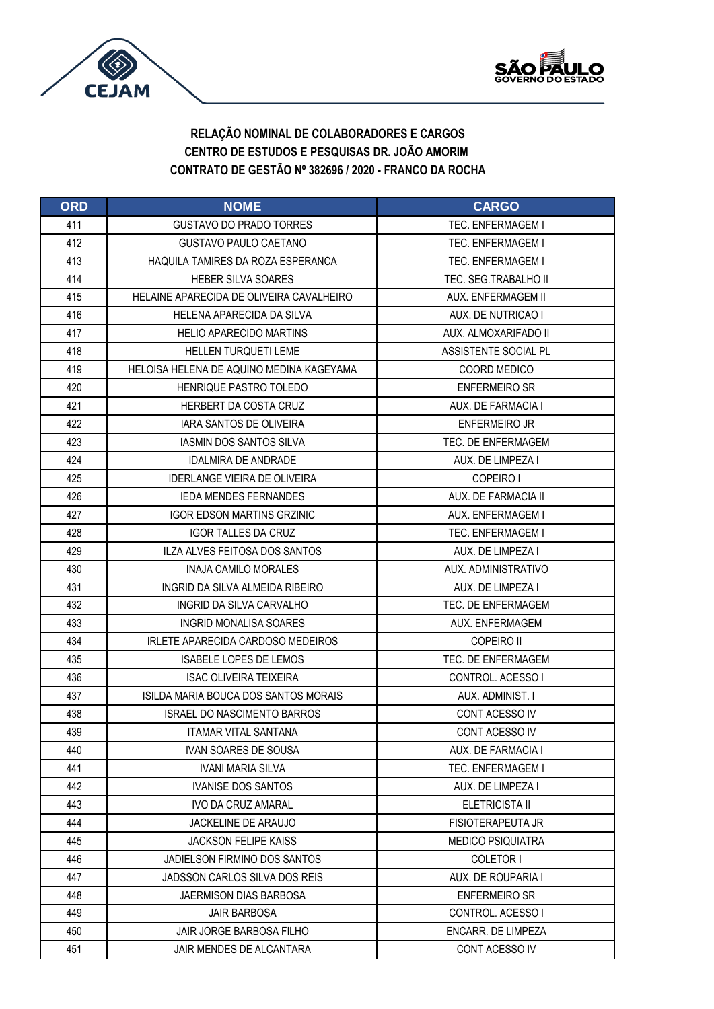



| <b>ORD</b> | <b>NOME</b>                              | <b>CARGO</b>             |
|------------|------------------------------------------|--------------------------|
| 411        | <b>GUSTAVO DO PRADO TORRES</b>           | <b>TEC. ENFERMAGEM I</b> |
| 412        | <b>GUSTAVO PAULO CAETANO</b>             | <b>TEC. ENFERMAGEM I</b> |
| 413        | HAQUILA TAMIRES DA ROZA ESPERANCA        | <b>TEC. ENFERMAGEM I</b> |
| 414        | <b>HEBER SILVA SOARES</b>                | TEC. SEG.TRABALHO II     |
| 415        | HELAINE APARECIDA DE OLIVEIRA CAVALHEIRO | AUX. ENFERMAGEM II       |
| 416        | HELENA APARECIDA DA SILVA                | AUX. DE NUTRICAO I       |
| 417        | <b>HELIO APARECIDO MARTINS</b>           | AUX. ALMOXARIFADO II     |
| 418        | <b>HELLEN TURQUETI LEME</b>              | ASSISTENTE SOCIAL PL     |
| 419        | HELOISA HELENA DE AQUINO MEDINA KAGEYAMA | COORD MEDICO             |
| 420        | <b>HENRIQUE PASTRO TOLEDO</b>            | <b>ENFERMEIRO SR</b>     |
| 421        | HERBERT DA COSTA CRUZ                    | AUX. DE FARMACIA I       |
| 422        | <b>IARA SANTOS DE OLIVEIRA</b>           | <b>ENFERMEIRO JR</b>     |
| 423        | <b>IASMIN DOS SANTOS SILVA</b>           | TEC. DE ENFERMAGEM       |
| 424        | <b>IDALMIRA DE ANDRADE</b>               | AUX. DE LIMPEZA I        |
| 425        | <b>IDERLANGE VIEIRA DE OLIVEIRA</b>      | COPEIRO I                |
| 426        | <b>IEDA MENDES FERNANDES</b>             | AUX. DE FARMACIA II      |
| 427        | <b>IGOR EDSON MARTINS GRZINIC</b>        | AUX. ENFERMAGEM I        |
| 428        | <b>IGOR TALLES DA CRUZ</b>               | TEC. ENFERMAGEM I        |
| 429        | ILZA ALVES FEITOSA DOS SANTOS            | AUX. DE LIMPEZA I        |
| 430        | <b>INAJA CAMILO MORALES</b>              | AUX. ADMINISTRATIVO      |
| 431        | INGRID DA SILVA ALMEIDA RIBEIRO          | AUX. DE LIMPEZA I        |
| 432        | INGRID DA SILVA CARVALHO                 | TEC. DE ENFERMAGEM       |
| 433        | <b>INGRID MONALISA SOARES</b>            | AUX. ENFERMAGEM          |
| 434        | IRLETE APARECIDA CARDOSO MEDEIROS        | COPEIRO II               |
| 435        | <b>ISABELE LOPES DE LEMOS</b>            | TEC. DE ENFERMAGEM       |
| 436        | <b>ISAC OLIVEIRA TEIXEIRA</b>            | CONTROL, ACESSO I        |
| 437        | ISILDA MARIA BOUCA DOS SANTOS MORAIS     | AUX. ADMINIST. I         |
| 438        | <b>ISRAEL DO NASCIMENTO BARROS</b>       | CONT ACESSO IV           |
| 439        | <b>ITAMAR VITAL SANTANA</b>              | CONT ACESSO IV           |
| 440        | <b>IVAN SOARES DE SOUSA</b>              | AUX. DE FARMACIA I       |
| 441        | <b>IVANI MARIA SILVA</b>                 | <b>TEC. ENFERMAGEM I</b> |
| 442        | <b>IVANISE DOS SANTOS</b>                | AUX. DE LIMPEZA I        |
| 443        | IVO DA CRUZ AMARAL                       | ELETRICISTA II           |
| 444        | JACKELINE DE ARAUJO                      | FISIOTERAPEUTA JR        |
| 445        | <b>JACKSON FELIPE KAISS</b>              | <b>MEDICO PSIQUIATRA</b> |
| 446        | JADIELSON FIRMINO DOS SANTOS             | COLETOR I                |
| 447        | JADSSON CARLOS SILVA DOS REIS            | AUX. DE ROUPARIA I       |
| 448        | JAERMISON DIAS BARBOSA                   | <b>ENFERMEIRO SR</b>     |
| 449        | <b>JAIR BARBOSA</b>                      | CONTROL. ACESSO I        |
| 450        | JAIR JORGE BARBOSA FILHO                 | ENCARR. DE LIMPEZA       |
| 451        | JAIR MENDES DE ALCANTARA                 | CONT ACESSO IV           |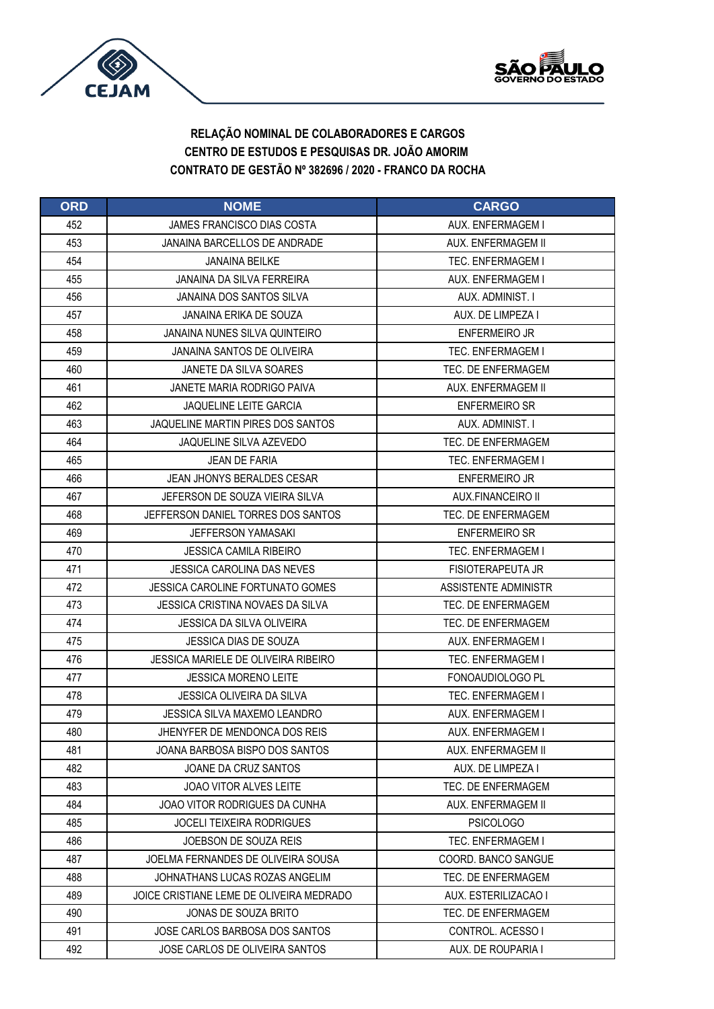



| <b>ORD</b> | <b>NOME</b>                                | <b>CARGO</b>             |
|------------|--------------------------------------------|--------------------------|
| 452        | <b>JAMES FRANCISCO DIAS COSTA</b>          | AUX. ENFERMAGEM I        |
| 453        | JANAINA BARCELLOS DE ANDRADE               | AUX. ENFERMAGEM II       |
| 454        | <b>JANAINA BEILKE</b>                      | TEC. ENFERMAGEM I        |
| 455        | JANAINA DA SILVA FERREIRA                  | AUX. ENFERMAGEM I        |
| 456        | <b>JANAINA DOS SANTOS SILVA</b>            | AUX. ADMINIST. I         |
| 457        | JANAINA ERIKA DE SOUZA                     | AUX. DE LIMPEZA I        |
| 458        | <b>JANAINA NUNES SILVA QUINTEIRO</b>       | <b>ENFERMEIRO JR</b>     |
| 459        | JANAINA SANTOS DE OLIVEIRA                 | <b>TEC. ENFERMAGEM I</b> |
| 460        | JANETE DA SILVA SOARES                     | TEC. DE ENFERMAGEM       |
| 461        | JANETE MARIA RODRIGO PAIVA                 | AUX. ENFERMAGEM II       |
| 462        | <b>JAQUELINE LEITE GARCIA</b>              | <b>ENFERMEIRO SR</b>     |
| 463        | JAQUELINE MARTIN PIRES DOS SANTOS          | AUX. ADMINIST. I         |
| 464        | JAQUELINE SILVA AZEVEDO                    | TEC. DE ENFERMAGEM       |
| 465        | JEAN DE FARIA                              | <b>TEC. ENFERMAGEM I</b> |
| 466        | JEAN JHONYS BERALDES CESAR                 | <b>ENFERMEIRO JR</b>     |
| 467        | JEFERSON DE SOUZA VIEIRA SILVA             | AUX.FINANCEIRO II        |
| 468        | JEFFERSON DANIEL TORRES DOS SANTOS         | TEC. DE ENFERMAGEM       |
| 469        | <b>JEFFERSON YAMASAKI</b>                  | <b>ENFERMEIRO SR</b>     |
| 470        | <b>JESSICA CAMILA RIBEIRO</b>              | <b>TEC. ENFERMAGEM I</b> |
| 471        | <b>JESSICA CAROLINA DAS NEVES</b>          | FISIOTERAPEUTA JR        |
| 472        | JESSICA CAROLINE FORTUNATO GOMES           | ASSISTENTE ADMINISTR     |
| 473        | JESSICA CRISTINA NOVAES DA SILVA           | TEC. DE ENFERMAGEM       |
| 474        | JESSICA DA SILVA OLIVEIRA                  | TEC. DE ENFERMAGEM       |
| 475        | <b>JESSICA DIAS DE SOUZA</b>               | AUX. ENFERMAGEM I        |
| 476        | <b>JESSICA MARIELE DE OLIVEIRA RIBEIRO</b> | <b>TEC. ENFERMAGEM I</b> |
| 477        | <b>JESSICA MORENO LEITE</b>                | FONOAUDIOLOGO PL         |
| 478        | JESSICA OLIVEIRA DA SILVA                  | <b>TEC. ENFERMAGEM I</b> |
| 479        | JESSICA SILVA MAXEMO I FANDRO              | AUX. ENFERMAGEM I        |
| 480        | JHENYFER DE MENDONCA DOS REIS              | AUX. ENFERMAGEM I        |
| 481        | JOANA BARBOSA BISPO DOS SANTOS             | AUX. ENFERMAGEM II       |
| 482        | JOANE DA CRUZ SANTOS                       | AUX. DE LIMPEZA I        |
| 483        | <b>JOAO VITOR ALVES LEITE</b>              | TEC. DE ENFERMAGEM       |
| 484        | JOAO VITOR RODRIGUES DA CUNHA              | AUX. ENFERMAGEM II       |
| 485        | <b>JOCELI TEIXEIRA RODRIGUES</b>           | <b>PSICOLOGO</b>         |
| 486        | JOEBSON DE SOUZA REIS                      | <b>TEC. ENFERMAGEM I</b> |
| 487        | JOELMA FERNANDES DE OLIVEIRA SOUSA         | COORD. BANCO SANGUE      |
| 488        | JOHNATHANS LUCAS ROZAS ANGELIM             | TEC. DE ENFERMAGEM       |
| 489        | JOICE CRISTIANE LEME DE OLIVEIRA MEDRADO   | AUX. ESTERILIZACAO I     |
| 490        | JONAS DE SOUZA BRITO                       | TEC. DE ENFERMAGEM       |
| 491        | JOSE CARLOS BARBOSA DOS SANTOS             | CONTROL. ACESSO I        |
| 492        | JOSE CARLOS DE OLIVEIRA SANTOS             | AUX. DE ROUPARIA I       |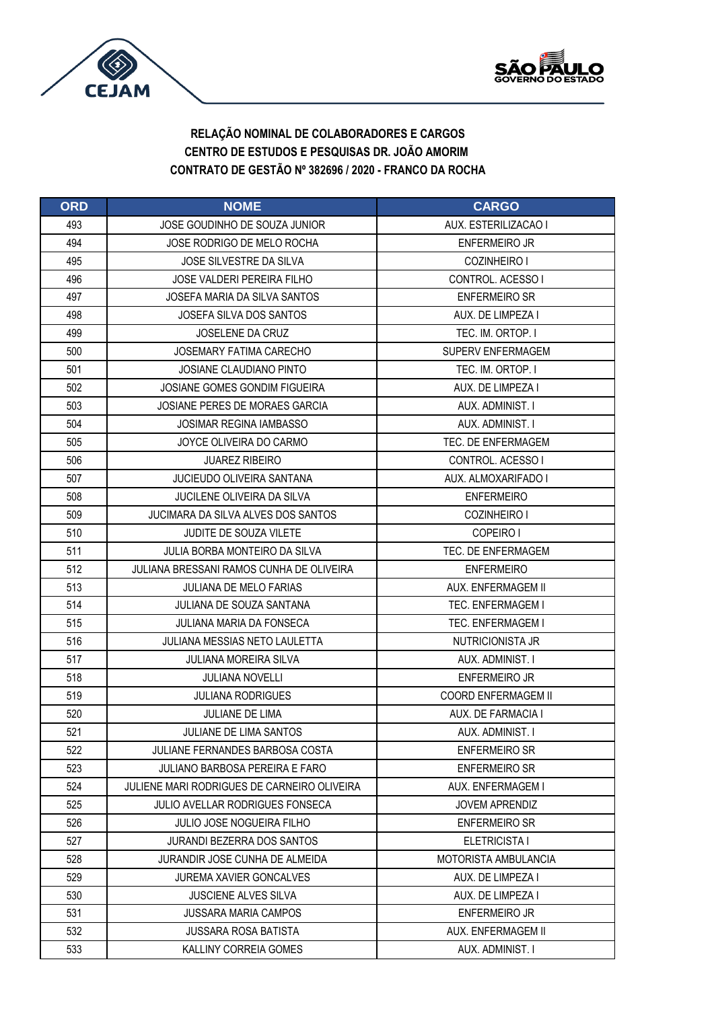



| <b>ORD</b> | <b>NOME</b>                                 | <b>CARGO</b>                |
|------------|---------------------------------------------|-----------------------------|
| 493        | JOSE GOUDINHO DE SOUZA JUNIOR               | AUX. ESTERILIZACAO I        |
| 494        | JOSE RODRIGO DE MELO ROCHA                  | <b>ENFERMEIRO JR</b>        |
| 495        | JOSE SILVESTRE DA SILVA                     | COZINHEIRO I                |
| 496        | <b>JOSE VALDERI PEREIRA FILHO</b>           | CONTROL. ACESSO I           |
| 497        | JOSEFA MARIA DA SILVA SANTOS                | <b>ENFERMEIRO SR</b>        |
| 498        | JOSEFA SILVA DOS SANTOS                     | AUX. DE LIMPEZA I           |
| 499        | <b>JOSELENE DA CRUZ</b>                     | TEC. IM. ORTOP. I           |
| 500        | JOSEMARY FATIMA CARECHO                     | <b>SUPERV ENFERMAGEM</b>    |
| 501        | JOSIANE CLAUDIANO PINTO                     | TEC. IM. ORTOP. I           |
| 502        | <b>JOSIANE GOMES GONDIM FIGUEIRA</b>        | AUX. DE LIMPEZA I           |
| 503        | JOSIANE PERES DE MORAES GARCIA              | AUX. ADMINIST. I            |
| 504        | <b>JOSIMAR REGINA IAMBASSO</b>              | AUX. ADMINIST. I            |
| 505        | JOYCE OLIVEIRA DO CARMO                     | TEC. DE ENFERMAGEM          |
| 506        | <b>JUAREZ RIBEIRO</b>                       | CONTROL, ACESSO I           |
| 507        | <b>JUCIEUDO OLIVEIRA SANTANA</b>            | AUX. ALMOXARIFADO I         |
| 508        | <b>JUCILENE OLIVEIRA DA SILVA</b>           | <b>ENFERMEIRO</b>           |
| 509        | JUCIMARA DA SILVA ALVES DOS SANTOS          | COZINHEIRO I                |
| 510        | <b>JUDITE DE SOUZA VILETE</b>               | COPEIRO I                   |
| 511        | JULIA BORBA MONTEIRO DA SILVA               | TEC. DE ENFERMAGEM          |
| 512        | JULIANA BRESSANI RAMOS CUNHA DE OLIVEIRA    | <b>ENFERMEIRO</b>           |
| 513        | <b>JULIANA DE MELO FARIAS</b>               | AUX. ENFERMAGEM II          |
| 514        | JULIANA DE SOUZA SANTANA                    | TEC. ENFERMAGEM I           |
| 515        | JULIANA MARIA DA FONSECA                    | TEC. ENFERMAGEM I           |
| 516        | JULIANA MESSIAS NETO LAULETTA               | NUTRICIONISTA JR            |
| 517        | <b>JULIANA MOREIRA SILVA</b>                | AUX. ADMINIST. I            |
| 518        | <b>JULIANA NOVELLI</b>                      | <b>ENFERMEIRO JR</b>        |
| 519        | <b>JULIANA RODRIGUES</b>                    | COORD ENFERMAGEM II         |
| 520        | <b>JULIANE DE LIMA</b>                      | AUX. DE FARMACIA I          |
| 521        | <b>JULIANE DE LIMA SANTOS</b>               | AUX. ADMINIST. I            |
| 522        | JULIANE FERNANDES BARBOSA COSTA             | <b>ENFERMEIRO SR</b>        |
| 523        | JULIANO BARBOSA PEREIRA E FARO              | <b>ENFERMEIRO SR</b>        |
| 524        | JULIENE MARI RODRIGUES DE CARNEIRO OLIVEIRA | AUX. ENFERMAGEM I           |
| 525        | JULIO AVELLAR RODRIGUES FONSECA             | <b>JOVEM APRENDIZ</b>       |
| 526        | <b>JULIO JOSE NOGUEIRA FILHO</b>            | <b>ENFERMEIRO SR</b>        |
| 527        | <b>JURANDI BEZERRA DOS SANTOS</b>           | ELETRICISTA I               |
| 528        | JURANDIR JOSE CUNHA DE ALMEIDA              | <b>MOTORISTA AMBULANCIA</b> |
| 529        | <b>JUREMA XAVIER GONCALVES</b>              | AUX. DE LIMPEZA I           |
| 530        | <b>JUSCIENE ALVES SILVA</b>                 | AUX. DE LIMPEZA I           |
| 531        | <b>JUSSARA MARIA CAMPOS</b>                 | <b>ENFERMEIRO JR</b>        |
| 532        | <b>JUSSARA ROSA BATISTA</b>                 | AUX. ENFERMAGEM II          |
| 533        | KALLINY CORREIA GOMES                       | AUX. ADMINIST. I            |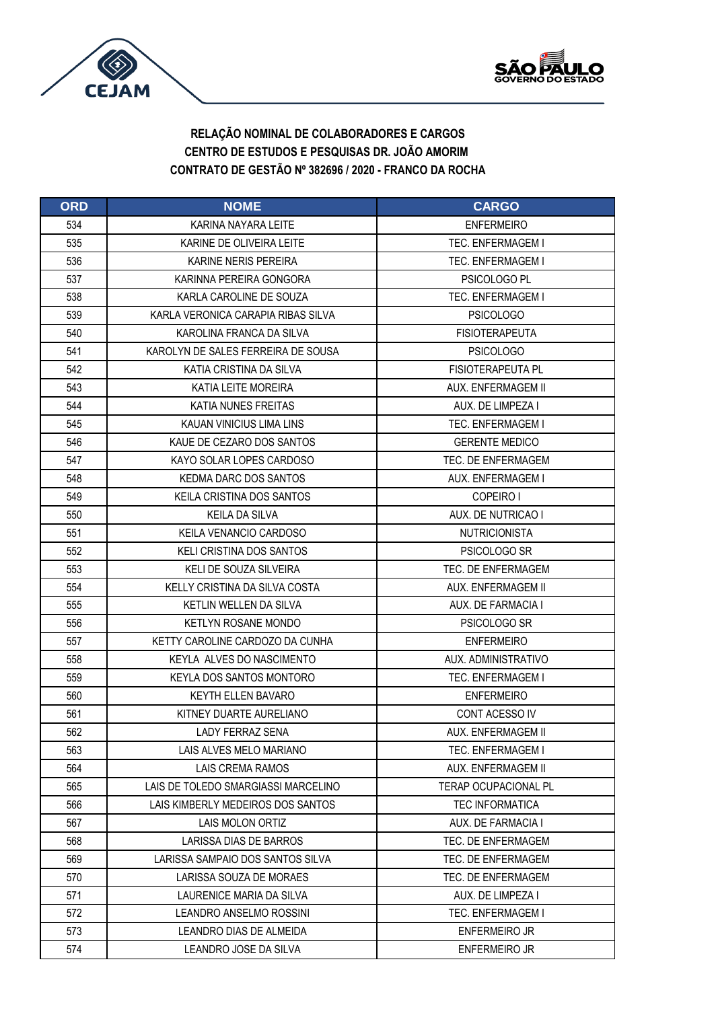



| <b>ORD</b> | <b>NOME</b>                         | <b>CARGO</b>                |
|------------|-------------------------------------|-----------------------------|
| 534        | KARINA NAYARA LEITE                 | <b>ENFERMEIRO</b>           |
| 535        | KARINE DE OLIVEIRA LEITE            | <b>TEC. ENFERMAGEM I</b>    |
| 536        | KARINE NERIS PEREIRA                | <b>TEC. ENFERMAGEM I</b>    |
| 537        | KARINNA PEREIRA GONGORA             | PSICOLOGO PL                |
| 538        | KARLA CAROLINE DE SOUZA             | TEC. ENFERMAGEM I           |
| 539        | KARLA VERONICA CARAPIA RIBAS SILVA  | <b>PSICOLOGO</b>            |
| 540        | KAROLINA FRANCA DA SILVA            | <b>FISIOTERAPEUTA</b>       |
| 541        | KAROLYN DE SALES FERREIRA DE SOUSA  | <b>PSICOLOGO</b>            |
| 542        | KATIA CRISTINA DA SILVA             | FISIOTERAPEUTA PL           |
| 543        | KATIA LEITE MOREIRA                 | AUX. ENFERMAGEM II          |
| 544        | KATIA NUNES FREITAS                 | AUX. DE LIMPEZA I           |
| 545        | KAUAN VINICIUS LIMA LINS            | <b>TEC. ENFERMAGEM I</b>    |
| 546        | KAUE DE CEZARO DOS SANTOS           | <b>GERENTE MEDICO</b>       |
| 547        | KAYO SOLAR LOPES CARDOSO            | TEC. DE ENFERMAGEM          |
| 548        | KEDMA DARC DOS SANTOS               | AUX. ENFERMAGEM I           |
| 549        | KEILA CRISTINA DOS SANTOS           | COPEIRO I                   |
| 550        | <b>KEILA DA SILVA</b>               | AUX. DE NUTRICAO I          |
| 551        | KEILA VENANCIO CARDOSO              | <b>NUTRICIONISTA</b>        |
| 552        | KELI CRISTINA DOS SANTOS            | PSICOLOGO SR                |
| 553        | KELI DE SOUZA SILVEIRA              | TEC. DE ENFERMAGEM          |
| 554        | KELLY CRISTINA DA SILVA COSTA       | AUX. ENFERMAGEM II          |
| 555        | KETLIN WELLEN DA SILVA              | AUX. DE FARMACIA I          |
| 556        | <b>KETLYN ROSANE MONDO</b>          | PSICOLOGO SR                |
| 557        | KETTY CAROLINE CARDOZO DA CUNHA     | <b>ENFERMEIRO</b>           |
| 558        | KEYLA ALVES DO NASCIMENTO           | AUX. ADMINISTRATIVO         |
| 559        | KEYLA DOS SANTOS MONTORO            | <b>TEC. ENFERMAGEM I</b>    |
| 560        | KEYTH ELLEN BAVARO                  | <b>ENFERMEIRO</b>           |
| 561        | KITNEY DUARTE AURELIANO             | CONT ACESSO IV              |
| 562        | <b>LADY FERRAZ SENA</b>             | AUX. ENFERMAGEM II          |
| 563        | LAIS ALVES MELO MARIANO             | TEC. ENFERMAGEM I           |
| 564        | LAIS CREMA RAMOS                    | AUX. ENFERMAGEM II          |
| 565        | LAIS DE TOLEDO SMARGIASSI MARCELINO | <b>TERAP OCUPACIONAL PL</b> |
| 566        | LAIS KIMBERLY MEDEIROS DOS SANTOS   | <b>TEC INFORMATICA</b>      |
| 567        | LAIS MOLON ORTIZ                    | AUX. DE FARMACIA I          |
| 568        | LARISSA DIAS DE BARROS              | TEC. DE ENFERMAGEM          |
| 569        | LARISSA SAMPAIO DOS SANTOS SILVA    | TEC. DE ENFERMAGEM          |
| 570        | LARISSA SOUZA DE MORAES             | TEC. DE ENFERMAGEM          |
| 571        | LAURENICE MARIA DA SILVA            | AUX. DE LIMPEZA I           |
| 572        | LEANDRO ANSELMO ROSSINI             | <b>TEC. ENFERMAGEM I</b>    |
| 573        | LEANDRO DIAS DE ALMEIDA             | <b>ENFERMEIRO JR</b>        |
| 574        | LEANDRO JOSE DA SILVA               | ENFERMEIRO JR               |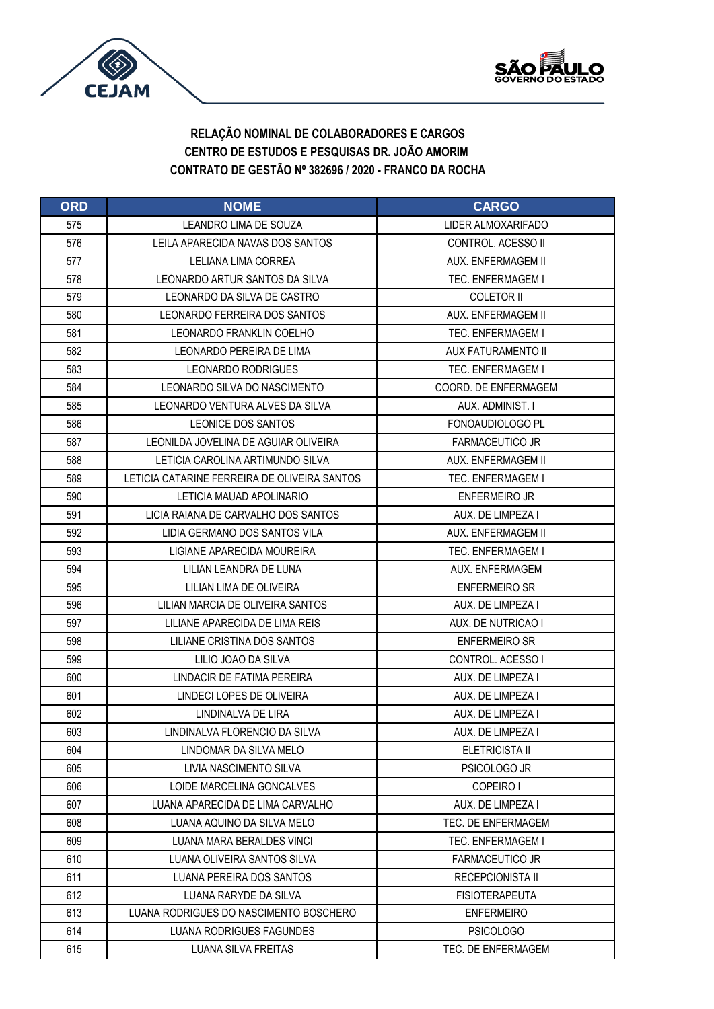



| <b>ORD</b> | <b>NOME</b>                                  | <b>CARGO</b>              |
|------------|----------------------------------------------|---------------------------|
| 575        | LEANDRO LIMA DE SOUZA                        | LIDER ALMOXARIFADO        |
| 576        | <b>I FILA APARECIDA NAVAS DOS SANTOS</b>     | CONTROL. ACESSO II        |
| 577        | LELIANA LIMA CORREA                          | AUX. ENFERMAGEM II        |
| 578        | LEONARDO ARTUR SANTOS DA SILVA               | TEC. ENFERMAGEM I         |
| 579        | LEONARDO DA SILVA DE CASTRO                  | <b>COLETOR II</b>         |
| 580        | LEONARDO FERREIRA DOS SANTOS                 | AUX. ENFERMAGEM II        |
| 581        | LEONARDO FRANKLIN COELHO                     | <b>TEC. ENFERMAGEM I</b>  |
| 582        | LEONARDO PEREIRA DE LIMA                     | <b>AUX FATURAMENTO II</b> |
| 583        | LEONARDO RODRIGUES                           | TEC. ENFERMAGEM I         |
| 584        | LEONARDO SILVA DO NASCIMENTO                 | COORD. DE ENFERMAGEM      |
| 585        | LEONARDO VENTURA ALVES DA SILVA              | AUX. ADMINIST. I          |
| 586        | LEONICE DOS SANTOS                           | FONOAUDIOLOGO PL          |
| 587        | LEONILDA JOVELINA DE AGUIAR OLIVEIRA         | <b>FARMACEUTICO JR</b>    |
| 588        | LETICIA CAROLINA ARTIMUNDO SILVA             | AUX. ENFERMAGEM II        |
| 589        | LETICIA CATARINE FERREIRA DE OLIVEIRA SANTOS | TEC. ENFERMAGEM I         |
| 590        | LETICIA MAUAD APOLINARIO                     | <b>ENFERMEIRO JR</b>      |
| 591        | LICIA RAIANA DE CARVALHO DOS SANTOS          | AUX. DE LIMPEZA I         |
| 592        | LIDIA GERMANO DOS SANTOS VILA                | AUX. ENFERMAGEM II        |
| 593        | LIGIANE APARECIDA MOUREIRA                   | TEC. ENFERMAGEM I         |
| 594        | LILIAN LEANDRA DE LUNA                       | AUX. ENFERMAGEM           |
| 595        | LILIAN LIMA DE OLIVEIRA                      | <b>ENFERMEIRO SR</b>      |
| 596        | LILIAN MARCIA DE OLIVEIRA SANTOS             | AUX. DE LIMPEZA I         |
| 597        | LILIANE APARECIDA DE LIMA REIS               | AUX. DE NUTRICAO I        |
| 598        | LILIANE CRISTINA DOS SANTOS                  | <b>ENFERMEIRO SR</b>      |
| 599        | LILIO JOAO DA SILVA                          | CONTROL. ACESSO I         |
| 600        | LINDACIR DE FATIMA PEREIRA                   | AUX. DE LIMPEZA I         |
| 601        | LINDECI LOPES DE OLIVEIRA                    | AUX. DE LIMPEZA I         |
| 602        | LINDINALVA DE LIRA                           | AUX. DE LIMPEZA I         |
| 603        | LINDINALVA FLORENCIO DA SILVA                | AUX. DE LIMPEZA I         |
| 604        | LINDOMAR DA SILVA MELO                       | <b>ELETRICISTA II</b>     |
| 605        | LIVIA NASCIMENTO SILVA                       | PSICOLOGO JR              |
| 606        | LOIDE MARCELINA GONCALVES                    | COPEIRO I                 |
| 607        | LUANA APARECIDA DE LIMA CARVALHO             | AUX. DE LIMPEZA I         |
| 608        | LUANA AQUINO DA SILVA MELO                   | TEC. DE ENFERMAGEM        |
| 609        | LUANA MARA BERALDES VINCI                    | <b>TEC. ENFERMAGEM I</b>  |
| 610        | LUANA OLIVEIRA SANTOS SILVA                  | <b>FARMACEUTICO JR</b>    |
| 611        | LUANA PEREIRA DOS SANTOS                     | <b>RECEPCIONISTA II</b>   |
| 612        | LUANA RARYDE DA SILVA                        | <b>FISIOTERAPEUTA</b>     |
| 613        | LUANA RODRIGUES DO NASCIMENTO BOSCHERO       | <b>ENFERMEIRO</b>         |
| 614        | LUANA RODRIGUES FAGUNDES                     | <b>PSICOLOGO</b>          |
| 615        | LUANA SILVA FREITAS                          | TEC. DE ENFERMAGEM        |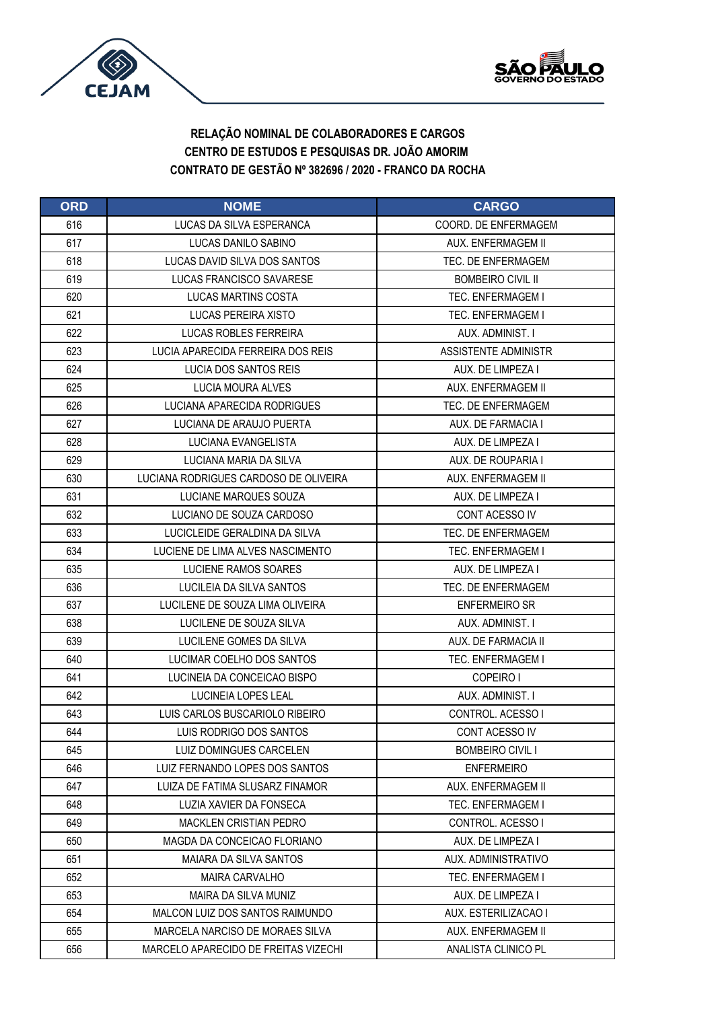



| <b>ORD</b> | <b>NOME</b>                           | <b>CARGO</b>             |
|------------|---------------------------------------|--------------------------|
| 616        | LUCAS DA SILVA ESPERANCA              | COORD. DE ENFERMAGEM     |
| 617        | LUCAS DANILO SABINO                   | AUX. ENFERMAGEM II       |
| 618        | LUCAS DAVID SILVA DOS SANTOS          | TEC. DE ENFERMAGEM       |
| 619        | LUCAS FRANCISCO SAVARESE              | <b>BOMBEIRO CIVIL II</b> |
| 620        | <b>LUCAS MARTINS COSTA</b>            | TEC. ENFERMAGEM I        |
| 621        | LUCAS PEREIRA XISTO                   | <b>TEC. ENFERMAGEM I</b> |
| 622        | <b>LUCAS ROBLES FERREIRA</b>          | AUX. ADMINIST. I         |
| 623        | LUCIA APARECIDA FERREIRA DOS REIS     | ASSISTENTE ADMINISTR     |
| 624        | LUCIA DOS SANTOS REIS                 | AUX. DE LIMPEZA I        |
| 625        | LUCIA MOURA ALVES                     | AUX. ENFERMAGEM II       |
| 626        | LUCIANA APARECIDA RODRIGUES           | TEC. DE ENFERMAGEM       |
| 627        | LUCIANA DE ARAUJO PUERTA              | AUX. DE FARMACIA I       |
| 628        | LUCIANA EVANGELISTA                   | AUX. DE LIMPEZA I        |
| 629        | LUCIANA MARIA DA SILVA                | AUX. DE ROUPARIA I       |
| 630        | LUCIANA RODRIGUES CARDOSO DE OLIVEIRA | AUX. ENFERMAGEM II       |
| 631        | LUCIANE MARQUES SOUZA                 | AUX. DE LIMPEZA I        |
| 632        | LUCIANO DE SOUZA CARDOSO              | CONT ACESSO IV           |
| 633        | LUCICLEIDE GERALDINA DA SILVA         | TEC. DE ENFERMAGEM       |
| 634        | LUCIENE DE LIMA ALVES NASCIMENTO      | TEC. ENFERMAGEM I        |
| 635        | LUCIENE RAMOS SOARES                  | AUX. DE LIMPEZA I        |
| 636        | LUCILEIA DA SILVA SANTOS              | TEC. DE ENFERMAGEM       |
| 637        | LUCILENE DE SOUZA LIMA OLIVEIRA       | <b>ENFERMEIRO SR</b>     |
| 638        | LUCILENE DE SOUZA SILVA               | AUX. ADMINIST. I         |
| 639        | LUCILENE GOMES DA SILVA               | AUX. DE FARMACIA II      |
| 640        | LUCIMAR COELHO DOS SANTOS             | <b>TEC. ENFERMAGEM I</b> |
| 641        | LUCINEIA DA CONCEICAO BISPO           | COPEIRO I                |
| 642        | LUCINEIA LOPES LEAL                   | AUX. ADMINIST. I         |
| 643        | LUIS CARLOS BUSCARIOLO RIBEIRO        | CONTROL. ACESSO I        |
| 644        | LUIS RODRIGO DOS SANTOS               | CONT ACESSO IV           |
| 645        | LUIZ DOMINGUES CARCELEN               | <b>BOMBEIRO CIVIL I</b>  |
| 646        | LUIZ FERNANDO LOPES DOS SANTOS        | <b>ENFERMEIRO</b>        |
| 647        | LUIZA DE FATIMA SLUSARZ FINAMOR       | AUX. ENFERMAGEM II       |
| 648        | LUZIA XAVIER DA FONSECA               | <b>TEC. ENFERMAGEM I</b> |
| 649        | <b>MACKLEN CRISTIAN PEDRO</b>         | CONTROL. ACESSO I        |
| 650        | MAGDA DA CONCEICAO FLORIANO           | AUX. DE LIMPEZA I        |
| 651        | MAIARA DA SILVA SANTOS                | AUX. ADMINISTRATIVO      |
| 652        | <b>MAIRA CARVALHO</b>                 | <b>TEC. ENFERMAGEM I</b> |
| 653        | MAIRA DA SILVA MUNIZ                  | AUX. DE LIMPEZA I        |
| 654        | MALCON LUIZ DOS SANTOS RAIMUNDO       | AUX. ESTERILIZACAO I     |
| 655        | MARCELA NARCISO DE MORAES SILVA       | AUX. ENFERMAGEM II       |
| 656        | MARCELO APARECIDO DE FREITAS VIZECHI  | ANALISTA CLINICO PL      |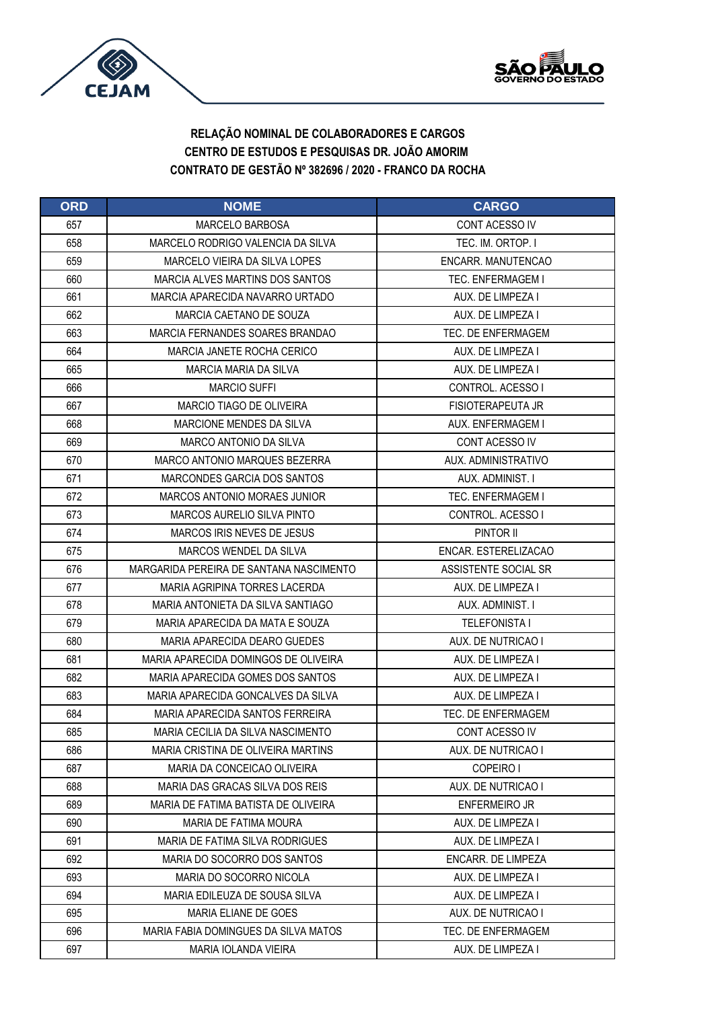



| <b>ORD</b> | <b>NOME</b>                             | <b>CARGO</b>              |
|------------|-----------------------------------------|---------------------------|
| 657        | <b>MARCELO BARBOSA</b>                  | CONT ACESSO IV            |
| 658        | MARCELO RODRIGO VALENCIA DA SILVA       | TEC. IM. ORTOP. I         |
| 659        | MARCELO VIEIRA DA SILVA LOPES           | ENCARR. MANUTENCAO        |
| 660        | MARCIA ALVES MARTINS DOS SANTOS         | <b>TEC. ENFERMAGEM I</b>  |
| 661        | MARCIA APARECIDA NAVARRO URTADO         | AUX. DE LIMPEZA I         |
| 662        | MARCIA CAETANO DE SOUZA                 | AUX. DE LIMPEZA I         |
| 663        | MARCIA FERNANDES SOARES BRANDAO         | TEC. DE ENFERMAGEM        |
| 664        | MARCIA JANETE ROCHA CERICO              | AUX. DE LIMPEZA I         |
| 665        | MARCIA MARIA DA SILVA                   | AUX. DE LIMPEZA I         |
| 666        | <b>MARCIO SUFFI</b>                     | CONTROL, ACESSO I         |
| 667        | MARCIO TIAGO DE OLIVEIRA                | <b>FISIOTERAPEUTA JR</b>  |
| 668        | MARCIONE MENDES DA SILVA                | AUX. ENFERMAGEM I         |
| 669        | <b>MARCO ANTONIO DA SILVA</b>           | CONT ACESSO IV            |
| 670        | MARCO ANTONIO MARQUES BEZERRA           | AUX. ADMINISTRATIVO       |
| 671        | MARCONDES GARCIA DOS SANTOS             | AUX. ADMINIST. I          |
| 672        | MARCOS ANTONIO MORAES JUNIOR            | <b>TEC. ENFERMAGEM I</b>  |
| 673        | MARCOS AURELIO SILVA PINTO              | CONTROL. ACESSO I         |
| 674        | MARCOS IRIS NEVES DE JESUS              | PINTOR II                 |
| 675        | MARCOS WENDEL DA SILVA                  | ENCAR. ESTERELIZACAO      |
| 676        | MARGARIDA PEREIRA DE SANTANA NASCIMENTO | ASSISTENTE SOCIAL SR      |
| 677        | MARIA AGRIPINA TORRES LACERDA           | AUX. DE LIMPEZA I         |
| 678        | MARIA ANTONIETA DA SILVA SANTIAGO       | AUX. ADMINIST. I          |
| 679        | MARIA APARECIDA DA MATA E SOUZA         | <b>TELEFONISTA I</b>      |
| 680        | MARIA APARECIDA DEARO GUEDES            | AUX. DE NUTRICAO I        |
| 681        | MARIA APARECIDA DOMINGOS DE OLIVEIRA    | AUX. DE LIMPEZA I         |
| 682        | MARIA APARECIDA GOMES DOS SANTOS        | AUX. DE LIMPEZA I         |
| 683        | MARIA APARECIDA GONCALVES DA SILVA      | AUX. DE LIMPEZA I         |
| 684        | MARIA APARECIDA SANTOS FERREIRA         | TEC. DE ENFERMAGEM        |
| 685        | MARIA CECILIA DA SILVA NASCIMENTO       | CONT ACESSO IV            |
| 686        | MARIA CRISTINA DE OLIVEIRA MARTINS      | AUX. DE NUTRICAO I        |
| 687        | MARIA DA CONCEICAO OLIVEIRA             | COPEIRO I                 |
| 688        | MARIA DAS GRACAS SILVA DOS REIS         | AUX. DE NUTRICAO I        |
| 689        | MARIA DE FATIMA BATISTA DE OLIVEIRA     | <b>ENFERMEIRO JR</b>      |
| 690        | MARIA DE FATIMA MOURA                   | AUX. DE LIMPEZA I         |
| 691        | MARIA DE FATIMA SILVA RODRIGUES         | AUX. DE LIMPEZA I         |
| 692        | MARIA DO SOCORRO DOS SANTOS             | <b>ENCARR. DE LIMPEZA</b> |
| 693        | MARIA DO SOCORRO NICOLA                 | AUX. DE LIMPEZA I         |
| 694        | MARIA EDILEUZA DE SOUSA SILVA           | AUX. DE LIMPEZA I         |
| 695        | <b>MARIA ELIANE DE GOES</b>             | AUX. DE NUTRICAO I        |
| 696        | MARIA FABIA DOMINGUES DA SILVA MATOS    | TEC. DE ENFERMAGEM        |
| 697        | <b>MARIA IOLANDA VIEIRA</b>             | AUX. DE LIMPEZA I         |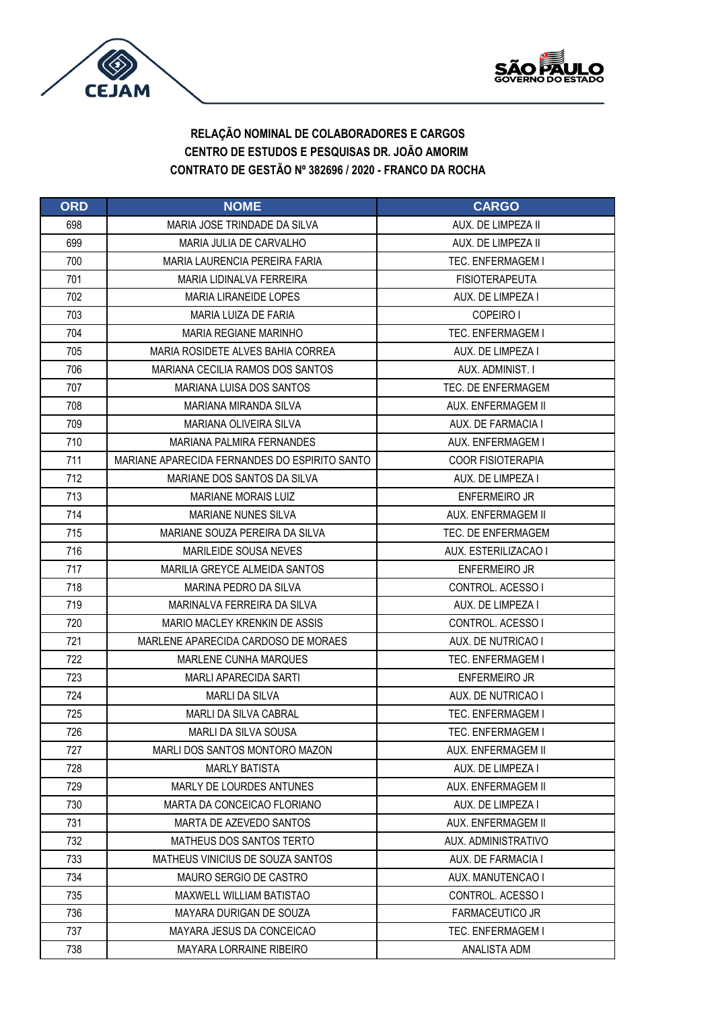



| <b>ORD</b> | <b>NOME</b>                                   | <b>CARGO</b>             |
|------------|-----------------------------------------------|--------------------------|
| 698        | MARIA JOSE TRINDADE DA SILVA                  | AUX. DE LIMPEZA II       |
| 699        | MARIA JULIA DE CARVALHO                       | AUX. DE LIMPEZA II       |
| 700        | MARIA LAURENCIA PEREIRA FARIA                 | TEC. ENFERMAGEM I        |
| 701        | MARIA LIDINALVA FERREIRA                      | <b>FISIOTERAPEUTA</b>    |
| 702        | <b>MARIA LIRANEIDE LOPES</b>                  | AUX. DE LIMPEZA I        |
| 703        | MARIA LUIZA DE FARIA                          | COPEIRO I                |
| 704        | <b>MARIA REGIANE MARINHO</b>                  | TEC. ENFERMAGEM I        |
| 705        | MARIA ROSIDETE ALVES BAHIA CORREA             | AUX. DE LIMPEZA I        |
| 706        | MARIANA CECILIA RAMOS DOS SANTOS              | AUX. ADMINIST. I         |
| 707        | <b>MARIANA LUISA DOS SANTOS</b>               | TEC. DE ENFERMAGEM       |
| 708        | <b>MARIANA MIRANDA SILVA</b>                  | AUX. ENFERMAGEM II       |
| 709        | <b>MARIANA OLIVEIRA SILVA</b>                 | AUX. DE FARMACIA I       |
| 710        | <b>MARIANA PALMIRA FERNANDES</b>              | AUX. ENFERMAGEM I        |
| 711        | MARIANE APARECIDA FERNANDES DO ESPIRITO SANTO | <b>COOR FISIOTERAPIA</b> |
| 712        | MARIANE DOS SANTOS DA SILVA                   | AUX. DE LIMPEZA I        |
| 713        | <b>MARIANE MORAIS LUIZ</b>                    | <b>ENFERMEIRO JR</b>     |
| 714        | <b>MARIANE NUNES SILVA</b>                    | AUX. ENFERMAGEM II       |
| 715        | MARIANE SOUZA PEREIRA DA SILVA                | TEC. DE ENFERMAGEM       |
| 716        | MARILEIDE SOUSA NEVES                         | AUX. ESTERILIZACAO I     |
| 717        | MARILIA GREYCE ALMEIDA SANTOS                 | <b>ENFERMEIRO JR</b>     |
| 718        | MARINA PEDRO DA SILVA                         | CONTROL. ACESSO I        |
| 719        | MARINALVA FERREIRA DA SILVA                   | AUX. DE LIMPEZA I        |
| 720        | MARIO MACLEY KRENKIN DE ASSIS                 | CONTROL. ACESSO I        |
| 721        | MARLENE APARECIDA CARDOSO DE MORAES           | AUX. DE NUTRICAO I       |
| 722        | <b>MARLENE CUNHA MARQUES</b>                  | TEC. ENFERMAGEM I        |
| 723        | <b>MARLI APARECIDA SARTI</b>                  | <b>ENFERMEIRO JR</b>     |
| 724        | <b>MARLI DA SILVA</b>                         | AUX. DE NUTRICAO I       |
| 725        | <b>MARLI DA SILVA CABRAL</b>                  | TEC. ENFERMAGEM I        |
| 726        | MARLI DA SILVA SOUSA                          | <b>TEC. ENFERMAGEM I</b> |
| 727        | MARLI DOS SANTOS MONTORO MAZON                | AUX. ENFERMAGEM II       |
| 728        | <b>MARLY BATISTA</b>                          | AUX. DE LIMPEZA I        |
| 729        | MARLY DE LOURDES ANTUNES                      | AUX. ENFERMAGEM II       |
| 730        | MARTA DA CONCEICAO FLORIANO                   | AUX. DE LIMPEZA I        |
| 731        | MARTA DE AZEVEDO SANTOS                       | AUX. ENFERMAGEM II       |
| 732        | MATHEUS DOS SANTOS TERTO                      | AUX. ADMINISTRATIVO      |
| 733        | MATHEUS VINICIUS DE SOUZA SANTOS              | AUX. DE FARMACIA I       |
| 734        | MAURO SERGIO DE CASTRO                        | AUX. MANUTENCAO I        |
| 735        | MAXWELL WILLIAM BATISTAO                      | CONTROL. ACESSO I        |
| 736        | MAYARA DURIGAN DE SOUZA                       | <b>FARMACEUTICO JR</b>   |
| 737        | MAYARA JESUS DA CONCEICAO                     | TEC. ENFERMAGEM I        |
| 738        | <b>MAYARA LORRAINE RIBEIRO</b>                | ANALISTA ADM             |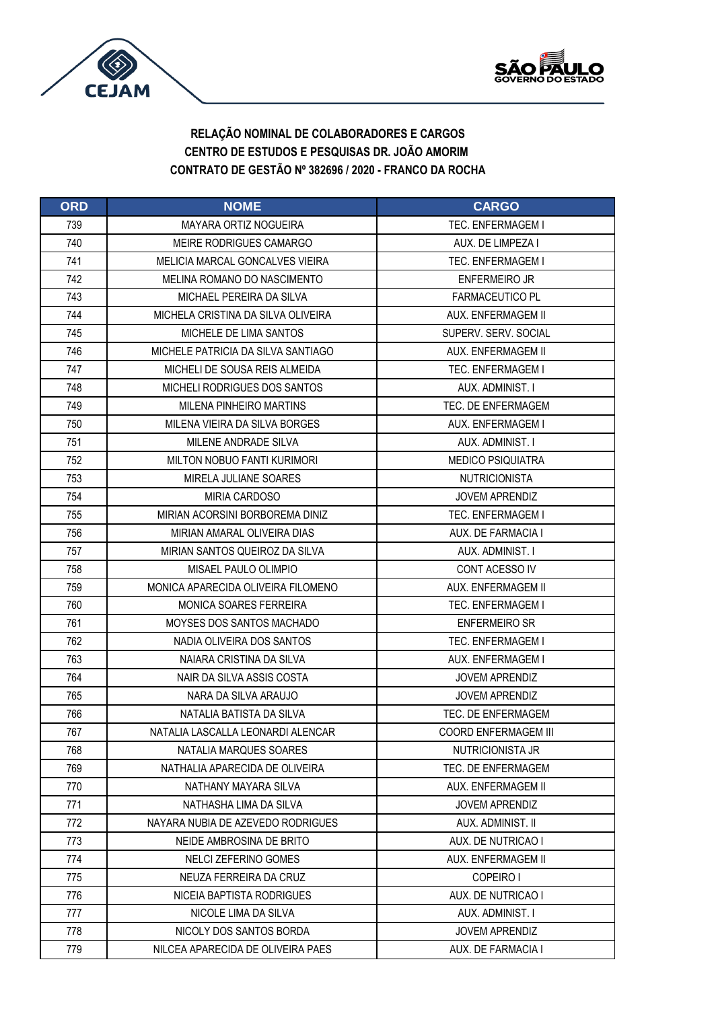



| <b>ORD</b> | <b>NOME</b>                        | <b>CARGO</b>                |
|------------|------------------------------------|-----------------------------|
| 739        | <b>MAYARA ORTIZ NOGUEIRA</b>       | <b>TEC. ENFERMAGEM I</b>    |
| 740        | MEIRE RODRIGUES CAMARGO            | AUX. DE LIMPEZA I           |
| 741        | MELICIA MARCAL GONCALVES VIEIRA    | <b>TEC. ENFERMAGEM I</b>    |
| 742        | MELINA ROMANO DO NASCIMENTO        | <b>ENFERMEIRO JR</b>        |
| 743        | MICHAEL PEREIRA DA SILVA           | <b>FARMACEUTICO PL</b>      |
| 744        | MICHELA CRISTINA DA SILVA OLIVEIRA | AUX. ENFERMAGEM II          |
| 745        | MICHELE DE LIMA SANTOS             | SUPERV, SERV, SOCIAL        |
| 746        | MICHELE PATRICIA DA SILVA SANTIAGO | AUX. ENFERMAGEM II          |
| 747        | MICHELI DE SOUSA REIS ALMEIDA      | <b>TEC. ENFERMAGEM I</b>    |
| 748        | MICHELI RODRIGUES DOS SANTOS       | AUX. ADMINIST. I            |
| 749        | <b>MILENA PINHEIRO MARTINS</b>     | TEC. DE ENFERMAGEM          |
| 750        | MILENA VIEIRA DA SILVA BORGES      | AUX. ENFERMAGEM I           |
| 751        | MILENE ANDRADE SILVA               | AUX. ADMINIST. I            |
| 752        | <b>MILTON NOBUO FANTI KURIMORI</b> | <b>MEDICO PSIQUIATRA</b>    |
| 753        | MIRELA JULIANE SOARES              | <b>NUTRICIONISTA</b>        |
| 754        | <b>MIRIA CARDOSO</b>               | <b>JOVEM APRENDIZ</b>       |
| 755        | MIRIAN ACORSINI BORBOREMA DINIZ    | <b>TEC. ENFERMAGEM I</b>    |
| 756        | MIRIAN AMARAL OLIVEIRA DIAS        | AUX. DE FARMACIA I          |
| 757        | MIRIAN SANTOS QUEIROZ DA SILVA     | AUX. ADMINIST. I            |
| 758        | MISAEL PAULO OLIMPIO               | CONT ACESSO IV              |
| 759        | MONICA APARECIDA OLIVEIRA FILOMENO | AUX. ENFERMAGEM II          |
| 760        | MONICA SOARES FERREIRA             | <b>TEC. ENFERMAGEM I</b>    |
| 761        | MOYSES DOS SANTOS MACHADO          | <b>ENFERMEIRO SR</b>        |
| 762        | NADIA OLIVEIRA DOS SANTOS          | <b>TEC. ENFERMAGEM I</b>    |
| 763        | NAIARA CRISTINA DA SILVA           | AUX. ENFERMAGEM I           |
| 764        | NAIR DA SILVA ASSIS COSTA          | <b>JOVEM APRENDIZ</b>       |
| 765        | NARA DA SILVA ARAUJO               | <b>JOVEM APRENDIZ</b>       |
| 766        | NATALIA BATISTA DA SILVA           | TEC. DE ENFERMAGEM          |
| 767        | NATALIA LASCALLA LEONARDI ALENCAR  | <b>COORD ENFERMAGEM III</b> |
| 768        | NATALIA MARQUES SOARES             | NUTRICIONISTA JR            |
| 769        | NATHALIA APARECIDA DE OLIVEIRA     | TEC. DE ENFERMAGEM          |
| 770        | NATHANY MAYARA SILVA               | AUX. ENFERMAGEM II          |
| 771        | NATHASHA LIMA DA SILVA             | <b>JOVEM APRENDIZ</b>       |
| 772        | NAYARA NUBIA DE AZEVEDO RODRIGUES  | AUX. ADMINIST. II           |
| 773        | NEIDE AMBROSINA DE BRITO           | AUX. DE NUTRICAO I          |
| 774        | NELCI ZEFERINO GOMES               | AUX. ENFERMAGEM II          |
| 775        | NEUZA FERREIRA DA CRUZ             | COPEIRO I                   |
| 776        | NICEIA BAPTISTA RODRIGUES          | AUX. DE NUTRICAO I          |
| 777        | NICOLE LIMA DA SILVA               | AUX. ADMINIST. I            |
| 778        | NICOLY DOS SANTOS BORDA            | JOVEM APRENDIZ              |
| 779        | NILCEA APARECIDA DE OLIVEIRA PAES  | AUX. DE FARMACIA I          |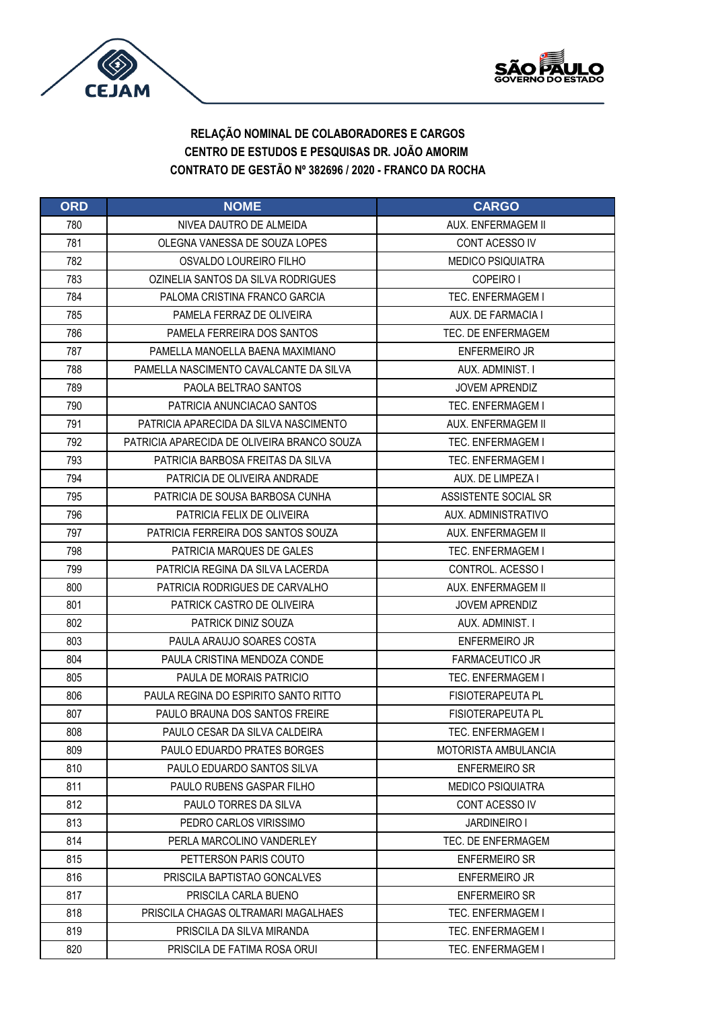



| <b>ORD</b> | <b>NOME</b>                                 | <b>CARGO</b>             |
|------------|---------------------------------------------|--------------------------|
| 780        | NIVEA DAUTRO DE ALMEIDA                     | AUX. ENFERMAGEM II       |
| 781        | OLEGNA VANESSA DE SOUZA LOPES               | CONT ACESSO IV           |
| 782        | OSVALDO LOUREIRO FILHO                      | <b>MEDICO PSIQUIATRA</b> |
| 783        | OZINELIA SANTOS DA SILVA RODRIGUES          | COPEIRO I                |
| 784        | PALOMA CRISTINA FRANCO GARCIA               | TEC. ENFERMAGEM I        |
| 785        | PAMELA FERRAZ DE OLIVEIRA                   | AUX. DE FARMACIA I       |
| 786        | PAMELA FERREIRA DOS SANTOS                  | TEC. DE ENFERMAGEM       |
| 787        | PAMELLA MANOELLA BAENA MAXIMIANO            | <b>ENFERMEIRO JR</b>     |
| 788        | PAMELLA NASCIMENTO CAVALCANTE DA SILVA      | AUX. ADMINIST. I         |
| 789        | PAOLA BELTRAO SANTOS                        | <b>JOVEM APRENDIZ</b>    |
| 790        | PATRICIA ANUNCIACAO SANTOS                  | TEC. ENFERMAGEM I        |
| 791        | PATRICIA APARECIDA DA SILVA NASCIMENTO      | AUX. ENFERMAGEM II       |
| 792        | PATRICIA APARECIDA DE OLIVEIRA BRANCO SOUZA | <b>TEC. ENFERMAGEM I</b> |
| 793        | PATRICIA BARBOSA FREITAS DA SILVA           | <b>TEC. ENFERMAGEM I</b> |
| 794        | PATRICIA DE OLIVEIRA ANDRADE                | AUX. DE LIMPEZA I        |
| 795        | PATRICIA DE SOUSA BARBOSA CUNHA             | ASSISTENTE SOCIAL SR     |
| 796        | PATRICIA FELIX DE OLIVEIRA                  | AUX. ADMINISTRATIVO      |
| 797        | PATRICIA FERREIRA DOS SANTOS SOUZA          | AUX. ENFERMAGEM II       |
| 798        | PATRICIA MARQUES DE GALES                   | TEC. ENFERMAGEM I        |
| 799        | PATRICIA REGINA DA SILVA LACERDA            | CONTROL, ACESSO I        |
| 800        | PATRICIA RODRIGUES DE CARVALHO              | AUX. ENFERMAGEM II       |
| 801        | PATRICK CASTRO DE OLIVEIRA                  | <b>JOVEM APRENDIZ</b>    |
| 802        | <b>PATRICK DINIZ SOUZA</b>                  | AUX. ADMINIST. I         |
| 803        | PAULA ARAUJO SOARES COSTA                   | <b>ENFERMEIRO JR</b>     |
| 804        | PAULA CRISTINA MENDOZA CONDE                | <b>FARMACEUTICO JR</b>   |
| 805        | PAULA DE MORAIS PATRICIO                    | <b>TEC. ENFERMAGEM I</b> |
| 806        | PAULA REGINA DO ESPIRITO SANTO RITTO        | <b>FISIOTERAPEUTA PL</b> |
| 807        | PAULO BRAUNA DOS SANTOS FREIRE              | <b>FISIOTERAPEUTA PL</b> |
| 808        | PAULO CESAR DA SILVA CALDEIRA               | <b>TEC. ENFERMAGEM I</b> |
| 809        | <b>PAULO EDUARDO PRATES BORGES</b>          | MOTORISTA AMBULANCIA     |
| 810        | PAULO EDUARDO SANTOS SILVA                  | <b>ENFERMEIRO SR</b>     |
| 811        | PAULO RUBENS GASPAR FILHO                   | <b>MEDICO PSIQUIATRA</b> |
| 812        | PAULO TORRES DA SILVA                       | CONT ACESSO IV           |
| 813        | PEDRO CARLOS VIRISSIMO                      | <b>JARDINEIRO I</b>      |
| 814        | PERLA MARCOLINO VANDERLEY                   | TEC. DE ENFERMAGEM       |
| 815        | PETTERSON PARIS COUTO                       | <b>ENFERMEIRO SR</b>     |
| 816        | PRISCILA BAPTISTAO GONCALVES                | ENFERMEIRO JR            |
| 817        | PRISCILA CARLA BUENO                        | <b>ENFERMEIRO SR</b>     |
| 818        | PRISCILA CHAGAS OLTRAMARI MAGALHAES         | <b>TEC. ENFERMAGEM I</b> |
| 819        | PRISCILA DA SILVA MIRANDA                   | TEC. ENFERMAGEM I        |
| 820        | PRISCILA DE FATIMA ROSA ORUI                | TEC. ENFERMAGEM I        |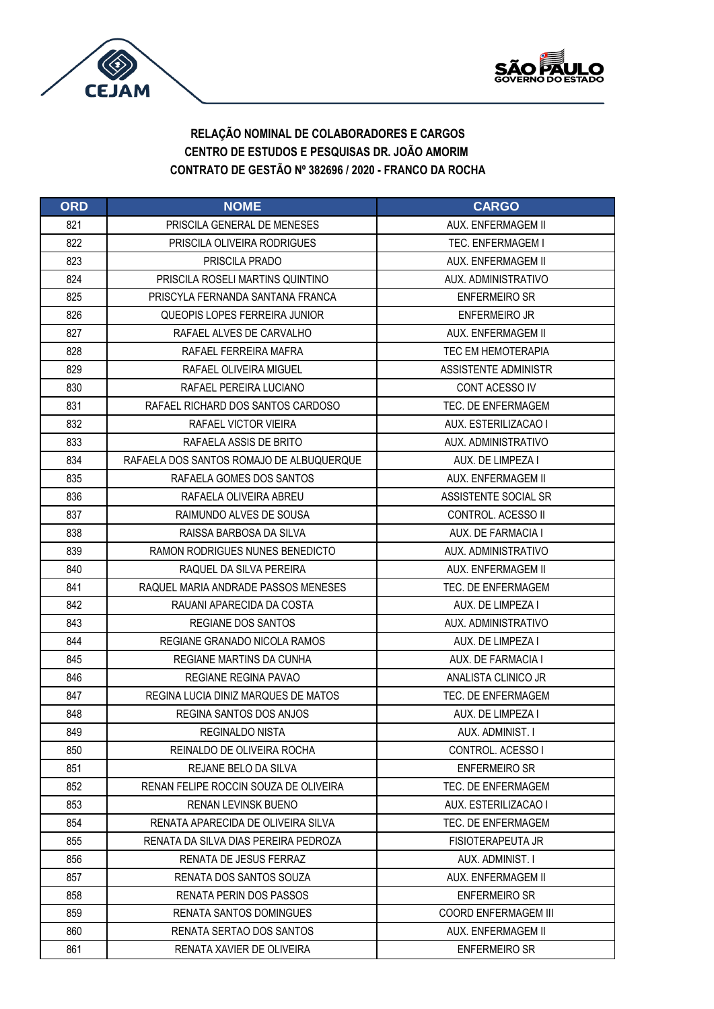



| <b>ORD</b> | <b>NOME</b>                              | <b>CARGO</b>                |
|------------|------------------------------------------|-----------------------------|
| 821        | PRISCILA GENERAL DE MENESES              | AUX. ENFERMAGEM II          |
| 822        | PRISCILA OLIVEIRA RODRIGUES              | <b>TEC. ENFERMAGEM I</b>    |
| 823        | PRISCILA PRADO                           | AUX. ENFERMAGEM II          |
| 824        | PRISCILA ROSELI MARTINS QUINTINO         | AUX. ADMINISTRATIVO         |
| 825        | PRISCYLA FERNANDA SANTANA FRANCA         | <b>ENFERMEIRO SR</b>        |
| 826        | QUEOPIS LOPES FERREIRA JUNIOR            | <b>ENFERMEIRO JR</b>        |
| 827        | RAFAEL ALVES DE CARVALHO                 | AUX. ENFERMAGEM II          |
| 828        | RAFAEL FERREIRA MAFRA                    | <b>TEC EM HEMOTERAPIA</b>   |
| 829        | RAFAEL OLIVEIRA MIGUEL                   | ASSISTENTE ADMINISTR        |
| 830        | RAFAEL PEREIRA LUCIANO                   | CONT ACESSO IV              |
| 831        | RAFAEL RICHARD DOS SANTOS CARDOSO        | TEC. DE ENFERMAGEM          |
| 832        | RAFAEL VICTOR VIEIRA                     | AUX. ESTERILIZACAO I        |
| 833        | RAFAELA ASSIS DE BRITO                   | AUX. ADMINISTRATIVO         |
| 834        | RAFAELA DOS SANTOS ROMAJO DE ALBUQUERQUE | AUX. DE LIMPEZA I           |
| 835        | RAFAELA GOMES DOS SANTOS                 | AUX. ENFERMAGEM II          |
| 836        | RAFAELA OLIVEIRA ABREU                   | ASSISTENTE SOCIAL SR        |
| 837        | RAIMUNDO ALVES DE SOUSA                  | CONTROL. ACESSO II          |
| 838        | RAISSA BARBOSA DA SILVA                  | AUX. DE FARMACIA I          |
| 839        | RAMON RODRIGUES NUNES BENEDICTO          | AUX. ADMINISTRATIVO         |
| 840        | RAQUEL DA SILVA PEREIRA                  | AUX. ENFERMAGEM II          |
| 841        | RAQUEL MARIA ANDRADE PASSOS MENESES      | TEC. DE ENFERMAGEM          |
| 842        | RAUANI APARECIDA DA COSTA                | AUX. DE LIMPEZA I           |
| 843        | <b>REGIANE DOS SANTOS</b>                | AUX. ADMINISTRATIVO         |
| 844        | REGIANE GRANADO NICOLA RAMOS             | AUX. DE LIMPEZA I           |
| 845        | REGIANE MARTINS DA CUNHA                 | AUX. DE FARMACIA I          |
| 846        | <b>REGIANE REGINA PAVAO</b>              | ANALISTA CLINICO JR         |
| 847        | REGINA LUCIA DINIZ MARQUES DE MATOS      | TEC. DE ENFERMAGEM          |
| 848        | REGINA SANTOS DOS ANJOS                  | AUX. DE LIMPEZA I           |
| 849        | <b>REGINALDO NISTA</b>                   | AUX. ADMINIST. I            |
| 850        | REINALDO DE OLIVEIRA ROCHA               | CONTROL. ACESSO I           |
| 851        | REJANE BELO DA SILVA                     | <b>ENFERMEIRO SR</b>        |
| 852        | RENAN FELIPE ROCCIN SOUZA DE OLIVEIRA    | TEC. DE ENFERMAGEM          |
| 853        | <b>RENAN LEVINSK BUENO</b>               | AUX. ESTERILIZACAO I        |
| 854        | RENATA APARECIDA DE OLIVEIRA SILVA       | TEC. DE ENFERMAGEM          |
| 855        | RENATA DA SILVA DIAS PEREIRA PEDROZA     | <b>FISIOTERAPEUTA JR</b>    |
| 856        | RENATA DE JESUS FERRAZ                   | AUX. ADMINIST. I            |
| 857        | RENATA DOS SANTOS SOUZA                  | AUX. ENFERMAGEM II          |
| 858        | RENATA PERIN DOS PASSOS                  | <b>ENFERMEIRO SR</b>        |
| 859        | <b>RENATA SANTOS DOMINGUES</b>           | <b>COORD ENFERMAGEM III</b> |
| 860        | RENATA SERTAO DOS SANTOS                 | AUX. ENFERMAGEM II          |
| 861        | RENATA XAVIER DE OLIVEIRA                | ENFERMEIRO SR               |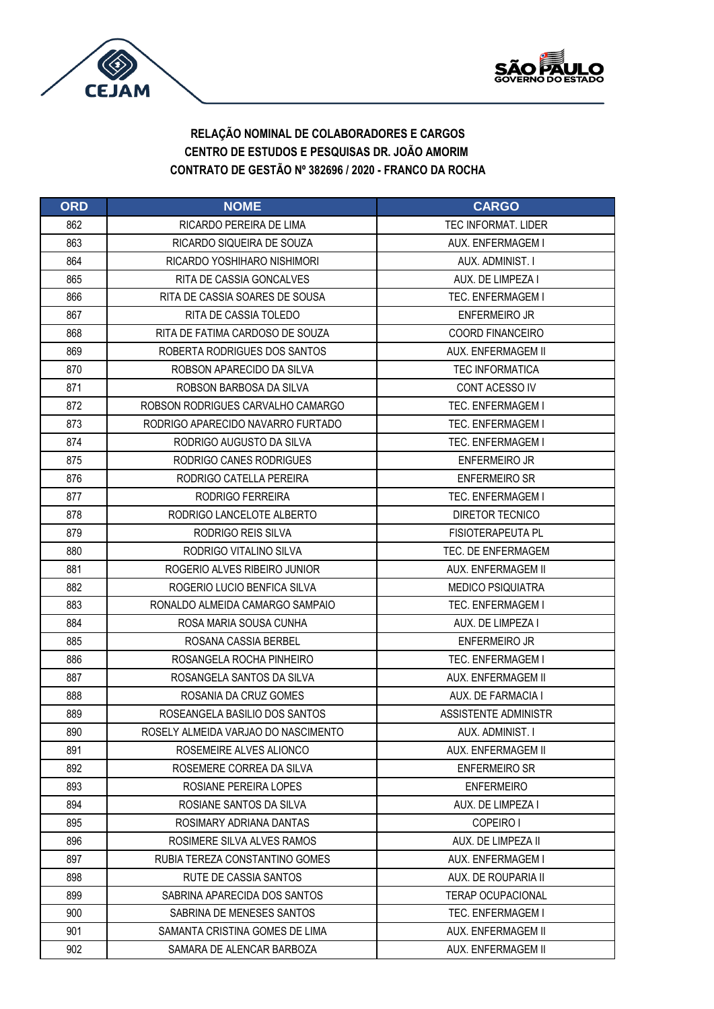



| <b>ORD</b> | <b>NOME</b>                         | <b>CARGO</b>               |
|------------|-------------------------------------|----------------------------|
| 862        | RICARDO PEREIRA DE LIMA             | <b>TEC INFORMAT, LIDER</b> |
| 863        | RICARDO SIQUEIRA DE SOUZA           | AUX. ENFERMAGEM I          |
| 864        | RICARDO YOSHIHARO NISHIMORI         | AUX. ADMINIST. I           |
| 865        | RITA DE CASSIA GONCALVES            | AUX. DE LIMPEZA I          |
| 866        | RITA DE CASSIA SOARES DE SOUSA      | <b>TEC. ENFERMAGEM I</b>   |
| 867        | RITA DE CASSIA TOLEDO               | <b>ENFERMEIRO JR</b>       |
| 868        | RITA DE FATIMA CARDOSO DE SOUZA     | <b>COORD FINANCEIRO</b>    |
| 869        | ROBERTA RODRIGUES DOS SANTOS        | AUX. ENFERMAGEM II         |
| 870        | ROBSON APARECIDO DA SILVA           | <b>TEC INFORMATICA</b>     |
| 871        | ROBSON BARBOSA DA SILVA             | CONT ACESSO IV             |
| 872        | ROBSON RODRIGUES CARVALHO CAMARGO   | TEC. ENFERMAGEM I          |
| 873        | RODRIGO APARECIDO NAVARRO FURTADO   | <b>TEC. ENFERMAGEM I</b>   |
| 874        | RODRIGO AUGUSTO DA SILVA            | <b>TEC. ENFERMAGEM I</b>   |
| 875        | RODRIGO CANES RODRIGUES             | <b>ENFERMEIRO JR</b>       |
| 876        | RODRIGO CATELLA PEREIRA             | <b>ENFERMEIRO SR</b>       |
| 877        | RODRIGO FERREIRA                    | <b>TEC. ENFERMAGEM I</b>   |
| 878        | RODRIGO LANCELOTE ALBERTO           | DIRETOR TECNICO            |
| 879        | RODRIGO REIS SILVA                  | <b>FISIOTERAPEUTA PL</b>   |
| 880        | RODRIGO VITALINO SILVA              | TEC. DE ENFERMAGEM         |
| 881        | ROGERIO ALVES RIBEIRO JUNIOR        | AUX. ENFERMAGEM II         |
| 882        | ROGERIO LUCIO BENFICA SILVA         | <b>MEDICO PSIQUIATRA</b>   |
| 883        | RONALDO ALMEIDA CAMARGO SAMPAIO     | <b>TEC. ENFERMAGEM I</b>   |
| 884        | ROSA MARIA SOUSA CUNHA              | AUX. DE LIMPEZA I          |
| 885        | ROSANA CASSIA BERBEL                | <b>ENFERMEIRO JR</b>       |
| 886        | ROSANGELA ROCHA PINHEIRO            | <b>TEC. ENFERMAGEM I</b>   |
| 887        | ROSANGELA SANTOS DA SILVA           | AUX. ENFERMAGEM II         |
| 888        | ROSANIA DA CRUZ GOMES               | AUX. DE FARMACIA I         |
| 889        | ROSEANGELA BASILIO DOS SANTOS       | ASSISTENTE ADMINISTR       |
| 890        | ROSELY ALMEIDA VARJAO DO NASCIMENTO | AUX. ADMINIST. I           |
| 891        | ROSEMEIRE ALVES ALIONCO             | AUX. ENFERMAGEM II         |
| 892        | ROSEMERE CORREA DA SILVA            | <b>ENFERMEIRO SR</b>       |
| 893        | ROSIANE PEREIRA LOPES               | <b>ENFERMEIRO</b>          |
| 894        | ROSIANE SANTOS DA SILVA             | AUX. DE LIMPEZA I          |
| 895        | ROSIMARY ADRIANA DANTAS             | COPEIRO I                  |
| 896        | ROSIMERE SILVA ALVES RAMOS          | AUX. DE LIMPEZA II         |
| 897        | RUBIA TEREZA CONSTANTINO GOMES      | AUX. ENFERMAGEM I          |
| 898        | RUTE DE CASSIA SANTOS               | AUX. DE ROUPARIA II        |
| 899        | SABRINA APARECIDA DOS SANTOS        | <b>TERAP OCUPACIONAL</b>   |
| 900        | SABRINA DE MENESES SANTOS           | TEC. ENFERMAGEM I          |
| 901        | SAMANTA CRISTINA GOMES DE LIMA      | AUX. ENFERMAGEM II         |
| 902        | SAMARA DE ALENCAR BARBOZA           | AUX. ENFERMAGEM II         |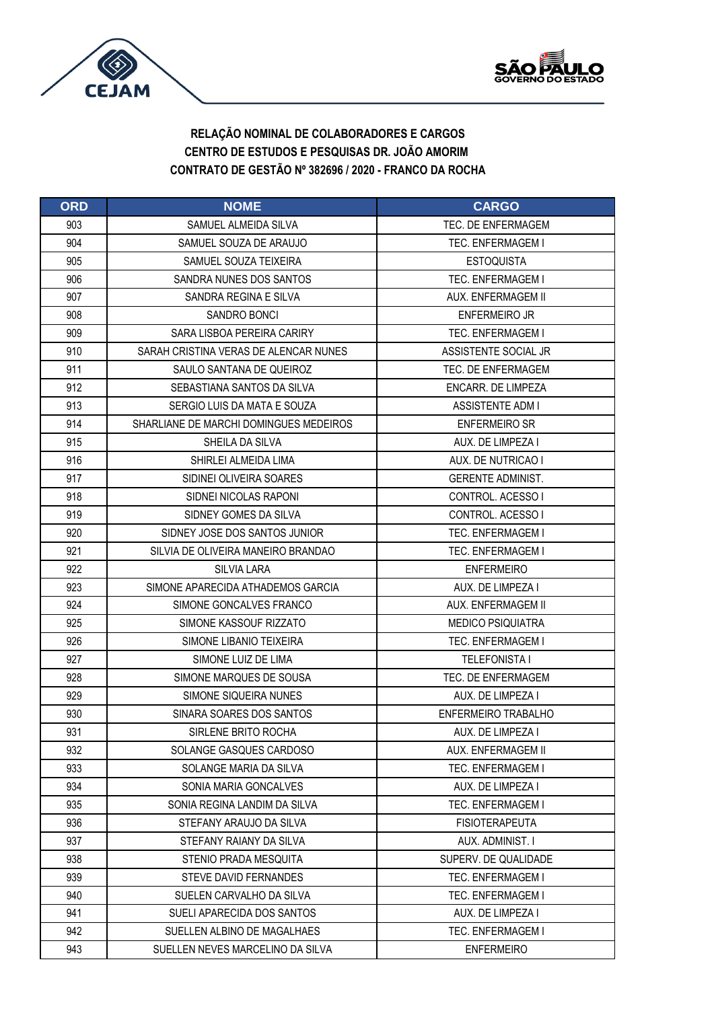



| <b>ORD</b> | <b>NOME</b>                            | <b>CARGO</b>             |
|------------|----------------------------------------|--------------------------|
| 903        | SAMUEL ALMEIDA SILVA                   | TFC. DF ENFERMAGEM       |
| 904        | SAMUEL SOUZA DE ARAUJO                 | <b>TEC. ENFERMAGEM I</b> |
| 905        | SAMUEL SOUZA TEIXEIRA                  | <b>ESTOQUISTA</b>        |
| 906        | SANDRA NUNES DOS SANTOS                | <b>TEC. ENFERMAGEM I</b> |
| 907        | SANDRA REGINA E SILVA                  | AUX. ENFERMAGEM II       |
| 908        | SANDRO BONCI                           | <b>ENFERMEIRO JR</b>     |
| 909        | SARA LISBOA PEREIRA CARIRY             | TEC. ENFERMAGEM I        |
| 910        | SARAH CRISTINA VERAS DE ALENCAR NUNES  | ASSISTENTE SOCIAL JR     |
| 911        | SAULO SANTANA DE QUEIROZ               | TEC. DE ENFERMAGEM       |
| 912        | SEBASTIANA SANTOS DA SILVA             | ENCARR. DE LIMPEZA       |
| 913        | SERGIO LUIS DA MATA E SOUZA            | <b>ASSISTENTE ADM I</b>  |
| 914        | SHARLIANE DE MARCHI DOMINGUES MEDEIROS | <b>ENFERMEIRO SR</b>     |
| 915        | SHEILA DA SILVA                        | AUX. DE LIMPEZA I        |
| 916        | SHIRLEI ALMEIDA LIMA                   | AUX. DE NUTRICAO I       |
| 917        | SIDINEI OLIVEIRA SOARES                | <b>GERENTE ADMINIST.</b> |
| 918        | SIDNEI NICOLAS RAPONI                  | CONTROL. ACESSO I        |
| 919        | SIDNEY GOMES DA SILVA                  | CONTROL. ACESSO I        |
| 920        | SIDNEY JOSE DOS SANTOS JUNIOR          | <b>TEC. ENFERMAGEM I</b> |
| 921        | SILVIA DE OLIVEIRA MANEIRO BRANDAO     | TEC. ENFERMAGEM I        |
| 922        | <b>SILVIA LARA</b>                     | <b>ENFERMEIRO</b>        |
| 923        | SIMONE APARECIDA ATHADEMOS GARCIA      | AUX. DE LIMPEZA I        |
| 924        | SIMONE GONCALVES FRANCO                | AUX. ENFERMAGEM II       |
| 925        | SIMONE KASSOUF RIZZATO                 | <b>MEDICO PSIQUIATRA</b> |
| 926        | SIMONE LIBANIO TEIXEIRA                | <b>TEC. ENFERMAGEM I</b> |
| 927        | SIMONE LUIZ DE LIMA                    | <b>TELEFONISTA I</b>     |
| 928        | SIMONE MARQUES DE SOUSA                | TEC. DE ENFERMAGEM       |
| 929        | SIMONE SIQUEIRA NUNES                  | AUX. DE LIMPEZA I        |
| 930        | SINARA SOARES DOS SANTOS               | ENFERMEIRO TRABALHO      |
| 931        | SIRLENE BRITO ROCHA                    | AUX. DE LIMPEZA I        |
| 932        | SOLANGE GASQUES CARDOSO                | AUX. ENFERMAGEM II       |
| 933        | SOLANGE MARIA DA SILVA                 | <b>TEC. ENFERMAGEM I</b> |
| 934        | SONIA MARIA GONCALVES                  | AUX. DE LIMPEZA I        |
| 935        | SONIA REGINA LANDIM DA SILVA           | <b>TEC. ENFERMAGEM I</b> |
| 936        | STEFANY ARAUJO DA SILVA                | <b>FISIOTERAPEUTA</b>    |
| 937        | STEFANY RAIANY DA SILVA                | AUX. ADMINIST. I         |
| 938        | STENIO PRADA MESQUITA                  | SUPERV. DE QUALIDADE     |
| 939        | <b>STEVE DAVID FERNANDES</b>           | <b>TEC. ENFERMAGEM I</b> |
| 940        | SUELEN CARVALHO DA SILVA               | TEC. ENFERMAGEM I        |
| 941        | SUELI APARECIDA DOS SANTOS             | AUX. DE LIMPEZA I        |
| 942        | SUELLEN ALBINO DE MAGALHAES            | TEC. ENFERMAGEM I        |
| 943        | SUELLEN NEVES MARCELINO DA SILVA       | <b>ENFERMEIRO</b>        |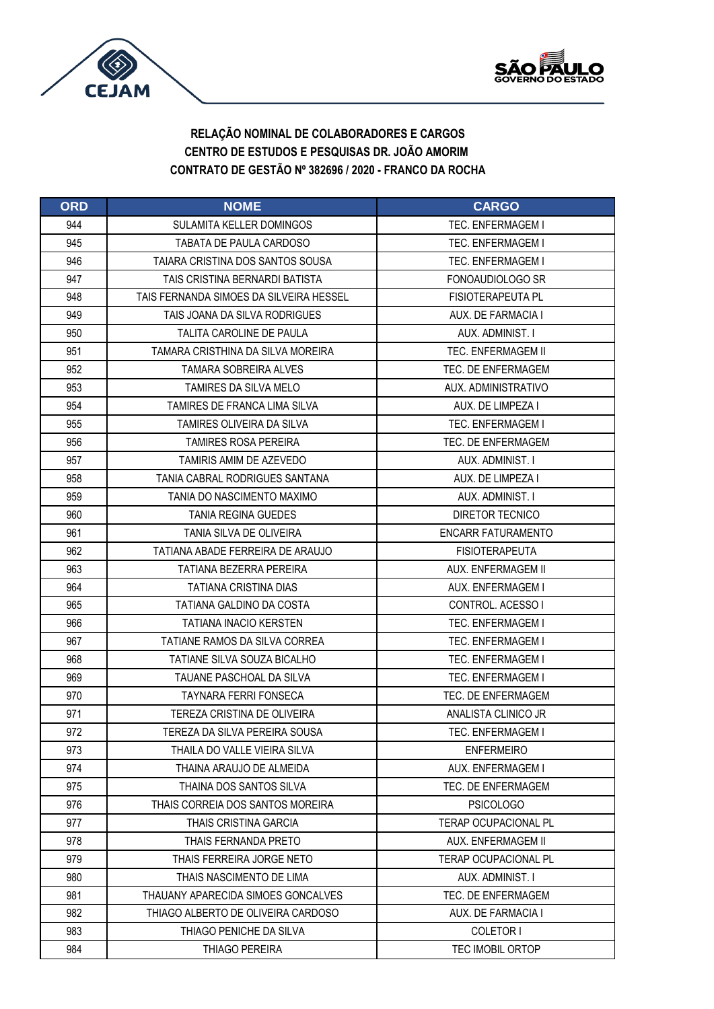



| <b>ORD</b> | <b>NOME</b>                             | <b>CARGO</b>                |
|------------|-----------------------------------------|-----------------------------|
| 944        | <b>SULAMITA KELLER DOMINGOS</b>         | <b>TEC. ENFERMAGEM I</b>    |
| 945        | TABATA DE PAULA CARDOSO                 | <b>TEC. ENFERMAGEM I</b>    |
| 946        | TAIARA CRISTINA DOS SANTOS SOUSA        | <b>TEC. ENFERMAGEM I</b>    |
| 947        | TAIS CRISTINA BERNARDI BATISTA          | FONOAUDIOLOGO SR            |
| 948        | TAIS FERNANDA SIMOES DA SILVEIRA HESSEL | FISIOTERAPEUTA PL           |
| 949        | TAIS JOANA DA SILVA RODRIGUES           | AUX. DE FARMACIA I          |
| 950        | TALITA CAROLINE DE PAULA                | AUX. ADMINIST. I            |
| 951        | TAMARA CRISTHINA DA SILVA MOREIRA       | <b>TEC. ENFERMAGEM II</b>   |
| 952        | TAMARA SOBREIRA ALVES                   | TEC. DE ENFERMAGEM          |
| 953        | TAMIRES DA SILVA MELO                   | AUX. ADMINISTRATIVO         |
| 954        | TAMIRES DE FRANCA LIMA SILVA            | AUX. DE LIMPEZA I           |
| 955        | TAMIRES OLIVEIRA DA SILVA               | <b>TEC. ENFERMAGEM I</b>    |
| 956        | <b>TAMIRES ROSA PEREIRA</b>             | TEC. DE ENFERMAGEM          |
| 957        | TAMIRIS AMIM DE AZEVEDO                 | AUX. ADMINIST. I            |
| 958        | TANIA CABRAL RODRIGUES SANTANA          | AUX. DE LIMPEZA I           |
| 959        | TANIA DO NASCIMENTO MAXIMO              | AUX. ADMINIST. I            |
| 960        | <b>TANIA REGINA GUEDES</b>              | <b>DIRETOR TECNICO</b>      |
| 961        | TANIA SILVA DE OLIVEIRA                 | <b>ENCARR FATURAMENTO</b>   |
| 962        | TATIANA ABADE FERREIRA DE ARAUJO        | <b>FISIOTERAPEUTA</b>       |
| 963        | TATIANA BEZERRA PEREIRA                 | AUX. ENFERMAGEM II          |
| 964        | TATIANA CRISTINA DIAS                   | AUX. ENFERMAGEM I           |
| 965        | TATIANA GALDINO DA COSTA                | CONTROL, ACESSO I           |
| 966        | <b>TATIANA INACIO KERSTEN</b>           | <b>TEC. ENFERMAGEM I</b>    |
| 967        | TATIANE RAMOS DA SILVA CORREA           | <b>TEC. ENFERMAGEM I</b>    |
| 968        | TATIANE SILVA SOUZA BICALHO             | TEC. ENFERMAGEM I           |
| 969        | TAUANE PASCHOAL DA SILVA                | <b>TEC. ENFERMAGEM I</b>    |
| 970        | TAYNARA FERRI FONSECA                   | TEC. DE ENFERMAGEM          |
| 971        | TEREZA CRISTINA DE OLIVEIRA             | ANALISTA CLINICO JR         |
| 972        | TEREZA DA SILVA PEREIRA SOUSA           | <b>TEC. ENFERMAGEM I</b>    |
| 973        | THAILA DO VALLE VIEIRA SILVA            | <b>ENFERMEIRO</b>           |
| 974        | THAINA ARAUJO DE ALMEIDA                | AUX. ENFERMAGEM I           |
| 975        | THAINA DOS SANTOS SILVA                 | TEC. DE ENFERMAGEM          |
| 976        | THAIS CORREIA DOS SANTOS MOREIRA        | <b>PSICOLOGO</b>            |
| 977        | <b>THAIS CRISTINA GARCIA</b>            | <b>TERAP OCUPACIONAL PL</b> |
| 978        | THAIS FERNANDA PRETO                    | AUX. ENFERMAGEM II          |
| 979        | THAIS FERREIRA JORGE NETO               | <b>TERAP OCUPACIONAL PL</b> |
| 980        | THAIS NASCIMENTO DE LIMA                | AUX. ADMINIST. I            |
| 981        | THAUANY APARECIDA SIMOES GONCALVES      | TEC. DE ENFERMAGEM          |
| 982        | THIAGO ALBERTO DE OLIVEIRA CARDOSO      | AUX. DE FARMACIA I          |
| 983        | THIAGO PENICHE DA SILVA                 | COLETOR I                   |
| 984        | <b>THIAGO PEREIRA</b>                   | <b>TEC IMOBIL ORTOP</b>     |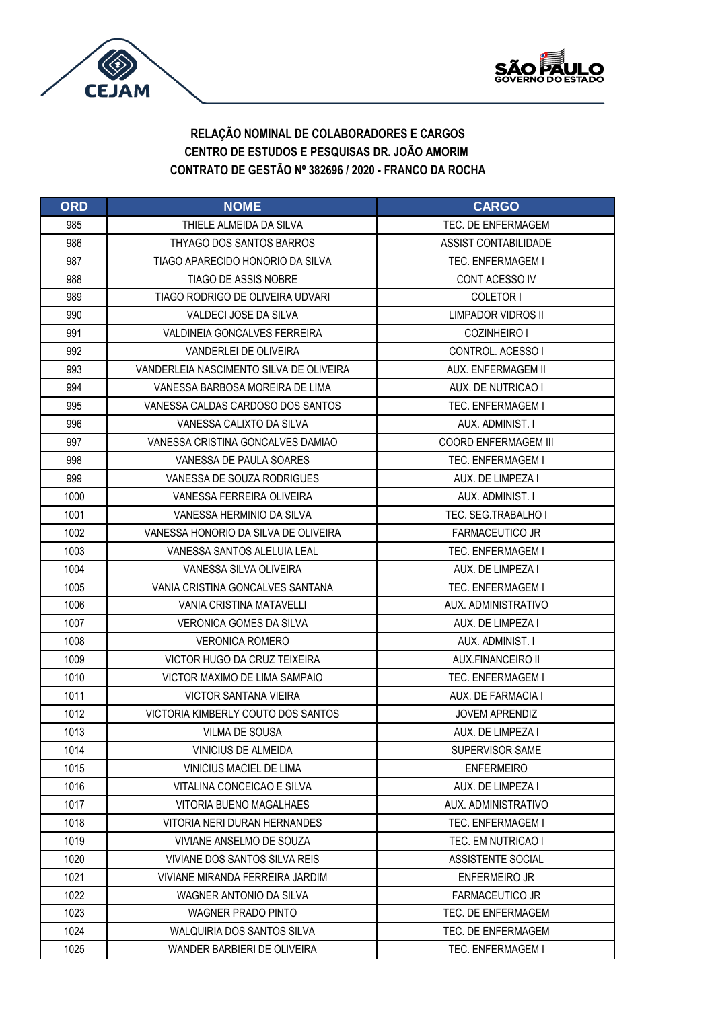



| <b>ORD</b> | <b>NOME</b>                             | <b>CARGO</b>                |
|------------|-----------------------------------------|-----------------------------|
| 985        | THIFI F AI MFIDA DA SII VA              | TFC. DF ENFERMAGEM          |
| 986        | THYAGO DOS SANTOS BARROS                | ASSIST CONTABILIDADE        |
| 987        | TIAGO APARECIDO HONORIO DA SILVA        | <b>TEC. ENFERMAGEM I</b>    |
| 988        | TIAGO DE ASSIS NOBRE                    | CONT ACESSO IV              |
| 989        | TIAGO RODRIGO DE OLIVEIRA UDVARI        | COLETOR I                   |
| 990        | VALDECI JOSE DA SILVA                   | LIMPADOR VIDROS II          |
| 991        | <b>VALDINEIA GONCALVES FERREIRA</b>     | COZINHEIRO I                |
| 992        | VANDERLEI DE OLIVEIRA                   | CONTROL. ACESSO I           |
| 993        | VANDERLEIA NASCIMENTO SILVA DE OLIVEIRA | AUX. ENFERMAGEM II          |
| 994        | VANESSA BARBOSA MOREIRA DE LIMA         | AUX. DE NUTRICAO I          |
| 995        | VANESSA CALDAS CARDOSO DOS SANTOS       | TEC. ENFERMAGEM I           |
| 996        | VANESSA CALIXTO DA SILVA                | AUX. ADMINIST. I            |
| 997        | VANESSA CRISTINA GONCALVES DAMIAO       | <b>COORD ENFERMAGEM III</b> |
| 998        | VANESSA DE PAULA SOARES                 | <b>TEC. ENFERMAGEM I</b>    |
| 999        | VANESSA DE SOUZA RODRIGUES              | AUX. DE LIMPEZA I           |
| 1000       | VANESSA FERREIRA OLIVEIRA               | AUX. ADMINIST. I            |
| 1001       | VANESSA HERMINIO DA SILVA               | TEC. SEG.TRABALHO I         |
| 1002       | VANESSA HONORIO DA SILVA DE OLIVEIRA    | <b>FARMACEUTICO JR</b>      |
| 1003       | VANESSA SANTOS ALELUIA LEAL             | TEC. ENFERMAGEM I           |
| 1004       | VANESSA SILVA OLIVEIRA                  | AUX. DE LIMPEZA I           |
| 1005       | VANIA CRISTINA GONCALVES SANTANA        | TEC. ENFERMAGEM I           |
| 1006       | VANIA CRISTINA MATAVELLI                | AUX. ADMINISTRATIVO         |
| 1007       | <b>VERONICA GOMES DA SILVA</b>          | AUX. DE LIMPEZA I           |
| 1008       | <b>VERONICA ROMERO</b>                  | AUX. ADMINIST. I            |
| 1009       | VICTOR HUGO DA CRUZ TEIXEIRA            | AUX.FINANCEIRO II           |
| 1010       | VICTOR MAXIMO DE LIMA SAMPAIO           | <b>TEC. ENFERMAGEM I</b>    |
| 1011       | <b>VICTOR SANTANA VIEIRA</b>            | AUX. DE FARMACIA I          |
| 1012       | VICTORIA KIMBERLY COUTO DOS SANTOS      | <b>JOVEM APRENDIZ</b>       |
| 1013       | VILMA DE SOUSA                          | AUX. DE LIMPEZA I           |
| 1014       | <b>VINICIUS DE ALMEIDA</b>              | SUPERVISOR SAME             |
| 1015       | VINICIUS MACIEL DE LIMA                 | <b>ENFERMEIRO</b>           |
| 1016       | VITALINA CONCEICAO E SILVA              | AUX. DE LIMPEZA I           |
| 1017       | VITORIA BUENO MAGALHAES                 | AUX. ADMINISTRATIVO         |
| 1018       | VITORIA NERI DURAN HERNANDES            | TEC. ENFERMAGEM I           |
| 1019       | VIVIANE ANSELMO DE SOUZA                | TEC. EM NUTRICAO I          |
| 1020       | VIVIANE DOS SANTOS SILVA REIS           | ASSISTENTE SOCIAL           |
| 1021       | VIVIANE MIRANDA FERREIRA JARDIM         | <b>ENFERMEIRO JR</b>        |
| 1022       | WAGNER ANTONIO DA SILVA                 | <b>FARMACEUTICO JR</b>      |
| 1023       | <b>WAGNER PRADO PINTO</b>               | TEC. DE ENFERMAGEM          |
| 1024       | WALQUIRIA DOS SANTOS SILVA              | TEC. DE ENFERMAGEM          |
| 1025       | WANDER BARBIERI DE OLIVEIRA             | TEC. ENFERMAGEM I           |